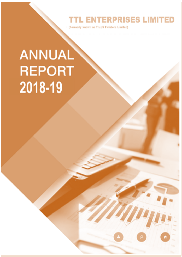**TTL ENTERPRISES LIMITED** 

(Formerly known as Trupti Twisters Limited)

# **ANNUAL REPORT** 2018-19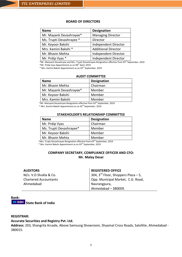## **BOARD OF DIRECTORS**

| <b>Name</b>              | <b>Designation</b>         |
|--------------------------|----------------------------|
| Mr. Mayank Devashrayee*  | <b>Managing Director</b>   |
| Ms. Trupti Devashrayee * | Director                   |
| Mr. Keyoor Bakshi        | Independent Director       |
| Mrs. Kamini Bakshi *     | <b>Additional Director</b> |
| Mr. Bhavin Mehta         | Independent Director       |
| Mr. Prdip Vyas *         | Independent Director       |

\*Mr. Manyank Devashryee and Mrs. Trupti Devashrayee Resignation effective from 03<sup>rd</sup> September, 2019 \*Mr. Prdip Vyas Appointment as on 08<sup>th</sup> April, 2019

\* Mrs. Kamini Bakshi Appointment as on 03rd September, 2019

## **AUDIT COMMITTEE**

| <b>Name</b>             | <b>Designation</b> |
|-------------------------|--------------------|
| Mr. Bhavin Mehta        | Chairman           |
| Mr. Mayank Devashrayee* | Member             |
| Mr. Keyoor Bakshi       | Member             |
| Mrs. Kamini Bakshi      | Member             |

\*Mr. Manyank Devashryee Resignation effective from 03<sup>rd</sup> September, 2019

\* Mrs. Kamini Bakshi Appointment as on 03rd September, 2019

#### **STAKEHOLDER'S RELATIONSHIP COMMITTEE**

| <b>Name</b>             | <b>Designation</b> |
|-------------------------|--------------------|
| Mr. Prdip Vyas          | Chairman           |
| Ms. Trupti Devashrayee* | Member             |
| Mr. Keyoor Bakshi       | Member             |
| Mr. Bhavin Mehta        | Member             |

\*Mrs. Trupti Devashrayee Resignation effective from 03<sup>rd</sup> September, 2019

\* Mrs. Kamini Bakshi Appointment as on 03rd September, 2019

## **COMPANY SECRETARY, COMPLIANCE OFFICER AND CFO: Mr. Malay Desai**

| <b>AUDITORS</b>              | <b>REGISTERED OFFICE</b>                        |
|------------------------------|-------------------------------------------------|
| M/s. V.D Shukla & Co.        | 304, $3^{\text{rd}}$ Floor, Shoppers Plaza – 5, |
| <b>Chartered Accountants</b> | Opp. Municipal Market, C.G. Road,               |
| Ahmedabad                    | Navrangpura,                                    |
|                              | Ahmedabad - 380009.                             |

# **Bank: OSBI** State Bank of India

## **REGISTRAR:**

## **Accurate Securities and Registry Pvt. Ltd.**

**Address:** 203, Shangrila Arcade, Above Samsung Showroom, Shyamal Cross Roads, Satellite, Ahmedabad - 380015.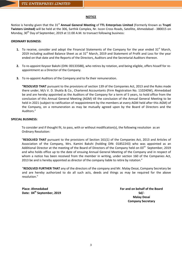## **NOTICE**

Notice is hereby given that the 31<sup>st</sup> Annual General Meeting of TTL Enterprises Limited (Formerly Known as Trupti **Twisters Limited)** will be held at the 306, Sarthik Complex, Nr. Iscon Cross Roads, Satellite, Ahmedabad - 380015 on Monday, 30<sup>th</sup> Day of September, 2019 at 11:00 A.M. to transact following business:

## **ORDINARY BUSINESS:**

- **1.** To receive, consider and adopt the Financial Statements of the Company for the year ended  $31<sup>st</sup>$  March, 2019 including audited Balance Sheet as at  $31<sup>st</sup>$  March, 2019 and Statement of Profit and Loss for the year ended on that date and the Reports of the Directors, Auditors and the Secretarial Auditors thereon.
- **2.** To re-appoint Keyoor Bakshi (DIN: 00133588), who retires by rotation, and being eligible, offers hisself for reappointment as a Director of the Company.
- **3.** To re-appoint Auditors of the Company and to fix their remuneration.

**"RESOLVED THAT** pursuant to the provisions of section 139 of the Companies Act, 2013 and the Rules made there under, M/s V. D. Shukla & Co., Chartered Accountants (Firm Registration No. 110240W), Ahmedabad be and are hereby appointed as the Auditors of the Company for a term of 5 years, to hold office from the conclusion of this Annual General Meeting (AGM) till the conclusion of the Annual General Meeting to be held in 2021 (subject to ratification of reappointment by the members at every AGM held after this AGM) of the Company, on a remuneration as may be mutually agreed upon by the Board of Directors and the Auditors."

## **SPECIAL BUSINESS:**

To consider and if thought fit, to pass, with or without modification(s), the following resolution as an Ordinary Resolution:

"**RESOLVED THAT** pursuant to the provisions of Section 161(1) of the Companies Act, 2013 and Articles of Association of the Company, Mrs. Kamini Bakshi (holding DIN: 01852243) who was appointed as an Additional Director at the meeting of the Board of Directors of the Company held on 03<sup>rd</sup> September, 2019 and who holds office up to the date of ensuing Annual General Meeting of the Company and in respect of whom a notice has been received from the member in writing, under section 160 of the Companies Act, 2013 be and is hereby appointed as director of the company liable to retire by rotation."

"**RESOLVED FURTHER THAT** any of the directors of the company and Mr. Malay Desai, Company Secretary be and are hereby authorized to do all such acts, deeds and things as may be required for the above resolution."

**Place: Ahmedabad Date: 04th September, 2019** **For and on behalf of the Board Sd/- Malay Desai Company Secretary**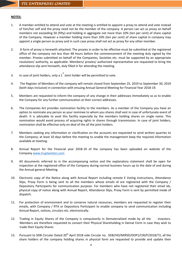## **NOTES:**

- 1. A member entitled to attend and vote at the meeting is entitled to appoint a proxy to attend and vote instead of him/her self and the proxy need not be the member of the company. A person can act as proxy on behalf members not exceeding 50 (fifty) and holding in aggregate not more than 10% (ten per cent) of share capital of the Company. However a member holding more than 10% (ten per cent) of share capital in company may appoint a single person as proxy and in such case proxy shall not act as proxy for any other member.
- 2. A form of proxy is herewith attached. The proxies in order to be effective must be submitted at the registered office of the company not less than 48 hours before the commencement of the meeting duly signed by the member. Proxies submitted on behalf of the Companies, Societies etc. must be supported by an appropriate resolution/ authority, as applicable. Members/ proxies/ authorized representative are requested to bring the attendance slip sent herewith, duly filled in for attending the meeting.
- 3. In case of joint holders, only a  $1^{\text{st}}$  Joint holder will be permitted to vote.
- 4. The Register of Members of the company will remain closed from September 25, 2019 to September 30, 2019 (both days inclusive) in connection with ensuing Annual General Meeting for Financial Year 2018-19.
- 5. Members are requested to inform the company of any change in their addresses immediately so as to enable the Company for any further communication at their correct addresses.
- 6. The Companies Act provides nomination facility to the members. As a member of the Company you have an option to nominate any person as your nominee to whom you shares shall vest in case of unfortunate event of death. It is advisable to avail this facility especially by the members holding shares on single name. This nomination would avoid process of acquiring rights in shares through transmission. In case of joint holders, nomination shall be effective only on deal of the all the joint holders.
- 7. Members seeking any information or clarification on the accounts are requested to send written quarries to the Company; at least 10 days before the meeting to unable the management keep the required information available at meeting.
- 8. Annual Report for the Financial year 2018-19 of the company has been uploaded on website of the Company www.truptwisters.com
- 9. All documents referred to in the accompanying notice and the explanatory statement shall be open for inspection at the registered office of the Company during normal business hours up to the date of and during the Annual general Meeting.
- 10. Electronic copy of the Notice along with Annual Report including remote E Voting instructions, Attendance Slips, Proxy Form is being sent to all the members whose emails id are registered with the Company / Depository Participants for communication purpose. For members who have not registered their email ids, physical copy of notice along with Annual Report, Attendance Slips, Proxy Form is sent by permitted mode of dispatch.
- 11. For protection of environment and to conserve natural resources, members are requested to register their emails, with Company / RTA or Depository Participant to enable company to send communication including Annual Report, notices, circulars etc. electronically.
- 12. Trading in Equity Shares of the Company is compulsorily in Dematerialized mode by all the investors. Members are therefore requested to convert their Physical Shareholding in Demat Form in case they wish to trade their Equity Shares
- 13. Pursuant to SEBI Circular Dated 20<sup>th</sup> April 2018 vide Circular no. SEBI/HO/MIRSD/DOP1/CIR/P/2018/73, all the share holders of the company holding shares in physical form are requested to provide and update their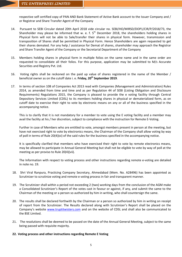respective self certified copy of PAN AND Bank Statement of Active Bank account to the Issuer Company and / or Registrar and Share Transfer Agent of the Company

- 14. Pursuant to SEBI Circular dated 20th April 2018 vide circular no. SEBI/HO/MIRSD/DOP1/CIR/P/2018/73, the Shareholder may please be informed that w. e. f.  $5<sup>th</sup>$  December 2018, the shareholders holding shares in Physical form will not be able to Sale/transfer their shares in physical form. However, transmission and transposition of Shares shall be permitted in Physical Form. Hence Shareholders are again requested to get their shares demated. For any help / assistance for Demat of shares, shareholder may approach the Registrar and Share Transfer Agent of the Company or the Secretarial Department of the Company
- 15. Members holding shares in physical form in multiple folios on the same name and in the same order are requested to consolidate all their folios. For this purpose, application may be submitted to M/s Accurate Securities and Registry Pvt. Ltd.
- 16. Voting rights shall be reckoned on the paid up value of shares registered in the name of the Member / beneficial owner as on the cutoff date i. e. **Friday, 20th September 2019**.
- 17. In terms of section 108 of Companies Act 2013 read with Companies (Management and Administration) Rules 2014, as amended from time and time and as per Regulation 44 of SEBI (Listing Obligation and Disclosure Requirements) Regulations 2015, the Company is pleased to provide the e voting facility through Central Depository Services Limited (CDSL) to its members holding shares in physical or dematerialized form, as on cutoff date to exercise their right to vote by electronic means on any or all of the business specified in the accompanying notice.

This is to clarify that it is not mandatory for a member to vote using the E voting facility and a member may avail the facility at his / her discretion, subject to compliance with the instruction for Remote E-Voting.

Further in case of Members who are entitled to vote, amongst members present in person at the meeting, but have not exercised right to vote by electronics means, the Chairman of the Company shall allow voting by way of poll in terms of Rule 20(4)(xi) of the said rules for the business specified in the accompanying notice.

It is specifically clarified that members who have exercised their right to vote by remote electronics means, may be allowed to participate in Annual General Meeting but shall not be eligible to vote by way of poll at the meeting as per proviso to Rule 20(4)(vii).

The Information with respect to voting process and other instructions regarding remote e-voting are detailed in note no. 19.

- 18. Shri Viral Ranpura, Practicing Company Secretary, Ahmedabad (Mem. No. A28496) has been appointed as Scrutinizer to scrutinize voting and remote e voting process in fair and transparent manner.
- 19. The Scrutinizer shall within a period not exceeding 2 (two) working days from the conclusion of the AGM make a Consolidated Scrutinizer's Report of the votes cast in favour or against, if any, and submit the same to the Chairman of the meeting or a person so authorized by him in writing, who shall countersign the same.
- 20. The results shall be declared forthwith by the Chairman or a person so authorized by him in writing on receipt of report from the Scrutinizer. The Results declared along with Scrutinizer's Report shall be placed on the Company's website [www.truptitwisters.com](http://www.truptitwisters.com/) and on the website of CDSL and shall also be communicated to the BSE Limited.
- 21. The resolutions shall be deemed to be passed on the date of the Annual General Meeting, subject to the same being passed with requisite majority.

## **22. Voting process and other instructions regarding Remote E Voting**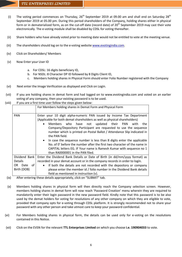- (i) The voting period commences on Thursday,  $26^{th}$  September 2019 at 09.00 am and shall end on Saturday  $28^{th}$ September 2019 at 05.00 pm. During this period shareholders of the Company, holding shares either in physical form or in dematerialized form, as on the cut-off date (record date) of  $20<sup>th</sup>$  September 2019 may cast their vote electronically. The e-voting module shall be disabled by CDSL for voting thereafter.
- (ii) Share holders who have already voted prior to meeting date would not be entitled to vote at the meeting venue.
- (iii) The shareholders should log on to the e-voting website [www.evotingindia.com.](http://www.evotingindia.com/)
- (iv) Click on Shareholders/ Members
- (v) Now Enter your User ID
	- a. For CDSL: 16 digits beneficiary ID,
	- b. For NSDL: 8 Character DP ID followed by 8 Digits Client ID,
	- c. Members holding shares in Physical Form should enter Folio Number registered with the Company
- (vi) Next enter the Image Verification as displayed and Click on Login.
- (vii) If you are holding shares in demat form and had logged on to [www.evotingindia.com](http://www.evotingindia.com/) and voted on an earlier voting of any company, then your existing password is to be used.
- (viii) If you are a first time user follow the steps given below:

|                | For Members holding shares in Demat Form and Physical Form                                                                                                                                                                                                                                                                                                                                                                                                                                                                                                                                                                                                           |  |  |  |
|----------------|----------------------------------------------------------------------------------------------------------------------------------------------------------------------------------------------------------------------------------------------------------------------------------------------------------------------------------------------------------------------------------------------------------------------------------------------------------------------------------------------------------------------------------------------------------------------------------------------------------------------------------------------------------------------|--|--|--|
| <b>PAN</b>     | Enter your 10 digit alpha-numeric PAN issued by Income Tax Department<br>(Applicable for both demat shareholders as well as physical shareholders)<br>who have not updated their PAN<br><b>Members</b><br>the<br>with<br>Company/Depository Participant are requested to use the sequence<br>number which is printed on Postal Ballot / Attendance Slip indicated in<br>the PAN field.<br>In case the sequence number is less than 8 digits enter the applicable<br>$\bullet$<br>No. of 0' before the number after the first two character of the name in<br>CAPITAL letters EG. IF Your name is Ramesh Kumar with sequence no 1<br>than RA0000001 in the PAN filed. |  |  |  |
| Dividend Bank  | Enter the Dividend Bank Details or Date of Birth (in dd/mm/yyyy format) as                                                                                                                                                                                                                                                                                                                                                                                                                                                                                                                                                                                           |  |  |  |
| <b>Details</b> | recorded in your demat account or in the company records in order to login.                                                                                                                                                                                                                                                                                                                                                                                                                                                                                                                                                                                          |  |  |  |
| OR Date<br>of  | If both the details are not recorded with the depository or company<br>$\bullet$                                                                                                                                                                                                                                                                                                                                                                                                                                                                                                                                                                                     |  |  |  |
| Birth (DOB)    | please enter the member id / folio number in the Dividend Bank details                                                                                                                                                                                                                                                                                                                                                                                                                                                                                                                                                                                               |  |  |  |
|                | field as mentioned in instruction (v).                                                                                                                                                                                                                                                                                                                                                                                                                                                                                                                                                                                                                               |  |  |  |

- (ix) After entering these details appropriately, click on "SUBMIT" tab.
- (x) Members holding shares in physical form will then directly reach the Company selection screen. However, members holding shares in demat form will now reach 'Password Creation' menu wherein they are required to mandatorily enter their login password in the new password field. Kindly note that this password is to be also used by the demat holders for voting for resolutions of any other company on which they are eligible to vote, provided that company opts for e-voting through CDSL platform. It is strongly recommended not to share your password with any other person and take utmost care to keep your password confidential.
- (xi) For Members holding shares in physical form, the details can be used only for e-voting on the resolutions contained in this Notice.
- (xii) Click on the EVSN for the relevant **TTL Enterprises Limited** on which you choose **i.e. 190904033** to vote.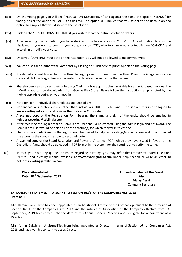- (xiii) On the voting page, you will see "RESOLUTION DESCRIPTION" and against the same the option "YES/NO" for voting. Select the option YES or NO as desired. The option YES implies that you assent to the Resolution and option NO implies that you dissent to the Resolution.
- (xiv) Click on the "RESOLUTIONS FILE LINK" if you wish to view the entire Resolution details.
- (xv) After selecting the resolution you have decided to vote on, click on "SUBMIT". A confirmation box will be displayed. If you wish to confirm your vote, click on "OK", else to change your vote, click on "CANCEL" and accordingly modify your vote.
- (xvi) Once you "CONFIRM" your vote on the resolution, you will not be allowed to modify your vote.
- (xvii) You can also take a print of the votes cast by clicking on "Click here to print" option on the Voting page.
- (xviii) If a demat account holder has forgotten the login password then Enter the User ID and the image verification code and click on Forgot Password & enter the details as prompted by the system.
	- (xix) Shareholders can also cast their vote using CDSL's mobile app m-Voting available for android based mobiles. The m-Voting app can be downloaded from Google Play Store. Please follow the instructions as prompted by the mobile app while voting on your mobile.
- (xx) Note for Non Individual Shareholders and Custodians
	- Non-Individual shareholders (i.e. other than Individuals, HUF, NRI etc.) and Custodian are required to log on to **[www.evotingindia.com](http://www.evotingindia.com/)** and register themselves as Corporate.
	- A scanned copy of the Registration Form bearing the stamp and sign of the entity should be emailed to **[helpdesk.evoting@cdslindia.com](mailto:helpdesk.evoting@cdslindia.com)**.
	- After receiving the login details a Compliance User should be created using the admin login and password. The Compliance User would be able to link the account(s) for which they wish to vote on.
	- The list of accounts linked in the login should be mailed to helpdesk.evoting@cdslindia.com and on approval of the accounts they would be able to cast their vote.
	- A scanned copy of the Board Resolution and Power of Attorney (POA) which they have issued in favour of the Custodian, if any, should be uploaded in PDF format in the system for the scrutinizer to verify the same.
- (xxi) In case you have any queries or issues regarding e-voting, you may refer the Frequently Asked Questions ("FAQs") and e-voting manual available at **[www.evotingindia.com,](http://www.evotingindia.com/)** under help section or write an email to **[helpdesk.evoting@cdslindia.com](mailto:helpdesk.evoting@cdslindia.com)**

**Place: Ahmedabad Date: 04th September, 2019** **For and on behalf of the Board Sd/- Malay Desai Company Secretary**

## **EXPLANETORY STATEMENT PURSUANT TO SECTION 102(1) OF THE COMPANIES ACT, 2013 Item no.3**

Mrs. Kamini Bakshi who has been appointed as an Additional Director of the Company pursuant to the provision of Section 161(1) of the Companies Act, 2013 and the Articles of Association of the Company effective from 03 $^{rd}$ September, 2019 holds office upto the date of this Annual General Meeting and is eligible for appointment as a Director.

Mrs. Kamini Bakshi is not disqualified from being appointed as Director in terms of Section 164 of Companies Act, 2013 and has given his consent to act as Director.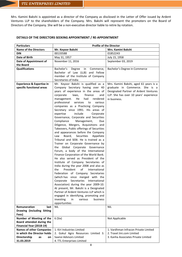Mrs. Kamini Bakshi is appointed as a director of the Company as disclosed in the Letter of Offer issued by Ardent Ventures LLP to the shareholders of the Company. Mrs. Bakshi will represent the promoters on the Board of Directors of the Company. She will be a non-executive director liable to retire by rotation.

## **DETAILS OF THE DIRECTORS SEEKING APPOINTMENT / RE-APPOINTMENT**

| <b>Particulars</b>                                                                | <b>Profile of the Director</b>                                                                                                                                                                                                                                                                                                                                                                                                                                                                                                                                                                                                                                                                                                                                                                                                                                                                                                                                                                                                                                                                                                                                                                                                                                         |                                                                                                                                   |  |  |  |
|-----------------------------------------------------------------------------------|------------------------------------------------------------------------------------------------------------------------------------------------------------------------------------------------------------------------------------------------------------------------------------------------------------------------------------------------------------------------------------------------------------------------------------------------------------------------------------------------------------------------------------------------------------------------------------------------------------------------------------------------------------------------------------------------------------------------------------------------------------------------------------------------------------------------------------------------------------------------------------------------------------------------------------------------------------------------------------------------------------------------------------------------------------------------------------------------------------------------------------------------------------------------------------------------------------------------------------------------------------------------|-----------------------------------------------------------------------------------------------------------------------------------|--|--|--|
| <b>Name of the Directors</b>                                                      | Mr. Keyoor Bakshi                                                                                                                                                                                                                                                                                                                                                                                                                                                                                                                                                                                                                                                                                                                                                                                                                                                                                                                                                                                                                                                                                                                                                                                                                                                      | Mrs. Kamini Bakshi                                                                                                                |  |  |  |
| <b>DIN</b>                                                                        | 00133588                                                                                                                                                                                                                                                                                                                                                                                                                                                                                                                                                                                                                                                                                                                                                                                                                                                                                                                                                                                                                                                                                                                                                                                                                                                               | 01852243                                                                                                                          |  |  |  |
| Date of Birth                                                                     | May 31, 1957                                                                                                                                                                                                                                                                                                                                                                                                                                                                                                                                                                                                                                                                                                                                                                                                                                                                                                                                                                                                                                                                                                                                                                                                                                                           | July 15, 1958                                                                                                                     |  |  |  |
| Date of Appointment of                                                            | November 11, 2016                                                                                                                                                                                                                                                                                                                                                                                                                                                                                                                                                                                                                                                                                                                                                                                                                                                                                                                                                                                                                                                                                                                                                                                                                                                      | September 03, 2019                                                                                                                |  |  |  |
| the Board                                                                         |                                                                                                                                                                                                                                                                                                                                                                                                                                                                                                                                                                                                                                                                                                                                                                                                                                                                                                                                                                                                                                                                                                                                                                                                                                                                        |                                                                                                                                   |  |  |  |
| <b>Qualifications</b><br><b>Experience &amp; Expertise in</b>                     | Bachelor's<br>Degree<br>Commerce,<br>in<br>Bachelor of Law (LLB) and Fellow<br>member of the Institute of Company<br>Secretaries of India<br>Mr. Keyoor Bakshi is qualified as a                                                                                                                                                                                                                                                                                                                                                                                                                                                                                                                                                                                                                                                                                                                                                                                                                                                                                                                                                                                                                                                                                       | Bachelor's Degree in Commerce<br>Mrs. Kamini Bakshi, aged 61 years is a                                                           |  |  |  |
| specific functional areas                                                         | Company Secretary having over 40<br>years of experience in the areas of<br>finance<br>corporate<br>laws,<br>and<br>He<br>had<br>rendered<br>management.<br>professional services to<br>various<br>companies as a Practicing Company<br>Secretary since 1991. His areas of<br>include<br>expertise<br>Corporate<br>Governance, Corporate and Securities<br>Compliance<br>Management,<br>Due<br>Diligence, Mergers, Acquisitions and<br>Takeovers, Public offerings of Securities<br>and appearances before the Company<br>Board, Securities Appellate<br>Law<br>Tribunal and SEBI. He is trained as a<br>Trainer on Corporate Governance by<br>the Global Corporate Governance<br>Forum, a body of the International<br>Finance Corporation of the World Bank.<br>He also served as President of the<br>Institute of Company Secretaries of<br>India during the year 2008 and also as<br>President<br>of<br>International<br>the<br>Federation of Company Secretaries<br>(which has since merged with the<br>Corporate<br>Secretaries<br>International<br>Association) during the year 2009-10.<br>At present, Mr. Bakshi is a Designated<br>Partner of Ardent Ventures LLP which is<br>engaged in identifying, promoting and<br>investing<br>various<br>in<br>business | graduate in Commerce. She is a<br>Designated Partner of Ardent Ventures<br>LLP. She has over 10 years' experience<br>in business. |  |  |  |
|                                                                                   | opportunities                                                                                                                                                                                                                                                                                                                                                                                                                                                                                                                                                                                                                                                                                                                                                                                                                                                                                                                                                                                                                                                                                                                                                                                                                                                          |                                                                                                                                   |  |  |  |
| <b>Remuneration</b><br>last<br>Drawing (including Sitting<br>Fees)                | <b>NIL</b>                                                                                                                                                                                                                                                                                                                                                                                                                                                                                                                                                                                                                                                                                                                                                                                                                                                                                                                                                                                                                                                                                                                                                                                                                                                             | <b>NIL</b>                                                                                                                        |  |  |  |
| Number of Meeting of the<br>Board attended during the<br>Financial Year (2018-19) | 6(Six)                                                                                                                                                                                                                                                                                                                                                                                                                                                                                                                                                                                                                                                                                                                                                                                                                                                                                                                                                                                                                                                                                                                                                                                                                                                                 | Not Applicable                                                                                                                    |  |  |  |
| <b>Names of other Companies</b>                                                   | 1. Kiri Industries Limited                                                                                                                                                                                                                                                                                                                                                                                                                                                                                                                                                                                                                                                                                                                                                                                                                                                                                                                                                                                                                                                                                                                                                                                                                                             | 1. Vardhman Infracon Private Limited                                                                                              |  |  |  |
| in which the Director holds                                                       | 2. Gokul Agro Resources Limited 3.                                                                                                                                                                                                                                                                                                                                                                                                                                                                                                                                                                                                                                                                                                                                                                                                                                                                                                                                                                                                                                                                                                                                                                                                                                     | 2. Travel Jini.com Limited                                                                                                        |  |  |  |
| Directorship<br>as<br>on                                                          | Saanvi Advisors Limited                                                                                                                                                                                                                                                                                                                                                                                                                                                                                                                                                                                                                                                                                                                                                                                                                                                                                                                                                                                                                                                                                                                                                                                                                                                | 3. Kanha Associates Private Limited                                                                                               |  |  |  |
| 31.03.2019                                                                        | 4. TTL Enterprises Limited                                                                                                                                                                                                                                                                                                                                                                                                                                                                                                                                                                                                                                                                                                                                                                                                                                                                                                                                                                                                                                                                                                                                                                                                                                             |                                                                                                                                   |  |  |  |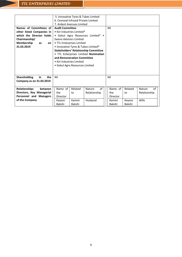|                                  | 5. Innovative Tyres & Tubes Limited                                |         |                                             |          |         |              |              |
|----------------------------------|--------------------------------------------------------------------|---------|---------------------------------------------|----------|---------|--------------|--------------|
|                                  | 6. Cemseal Infraaid Private Limited                                |         |                                             |          |         |              |              |
|                                  | 7. Ardent Avenues Limited                                          |         |                                             |          |         |              |              |
| Names of Committees of           | <b>Audit Committee</b>                                             |         |                                             |          | Nil     |              |              |
| other listed Companies in        | • Kiri Industries Limited*                                         |         |                                             |          |         |              |              |
| which the Director holds         |                                                                    |         | • Gokul Agro Resources Limited* •           |          |         |              |              |
| Chairmanship/                    | Saanvi Advisors Limited                                            |         |                                             |          |         |              |              |
| Membership<br>as<br>on           | • TTL Enterprises Limited                                          |         |                                             |          |         |              |              |
| 31.03.2019                       |                                                                    |         | • Innovative Tyres & Tubes Limited*         |          |         |              |              |
|                                  |                                                                    |         | <b>Stakeholders' Relationship Committee</b> |          |         |              |              |
|                                  |                                                                    |         |                                             |          |         |              |              |
|                                  | . TTL Enterprises Limited Nomination<br>and Remuneration Committee |         |                                             |          |         |              |              |
|                                  | • Kiri Industries Limited                                          |         |                                             |          |         |              |              |
|                                  |                                                                    |         |                                             |          |         |              |              |
|                                  | • Gokul Agro Resources Limited                                     |         |                                             |          |         |              |              |
|                                  |                                                                    |         |                                             |          |         |              |              |
|                                  |                                                                    |         |                                             |          |         |              |              |
| <b>Shareholding</b><br>in<br>the | Nil                                                                |         |                                             | Nil      |         |              |              |
| Company as on 31.03.2019         |                                                                    |         |                                             |          |         |              |              |
|                                  |                                                                    |         |                                             |          |         |              |              |
| <b>Relationships</b><br>between  | Name of                                                            | Related | Nature                                      | of       | Name of | Related      | of<br>Nature |
| Directors, Key Managerial        | Relationship<br>the<br>to                                          |         |                                             | the      | to      | Relationship |              |
| Personnel and Managers           | Director                                                           |         |                                             | Director |         |              |              |
| of the Company                   | Keyoor                                                             | Kamini  | Husband                                     |          | Kamini  | Keyoor       | Wife         |
|                                  | Bakshi                                                             | Bakshi  |                                             |          | Bakshi  | Bakshi       |              |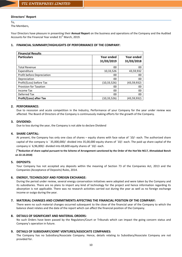## **Directors' Report**

To,

The Members,

Your Directors have pleasure in presenting their **Annual Report** on the business and operations of the Company and the Audited Accounts for the Financial Year ended  $31<sup>st</sup>$  March, 2019.

## **1. FINANCIAL SUMMARY/HIGHLIGHTS OF PERFORMANCE OF THE COMPANY:**

| <b>Financial Results</b>       |             |               |
|--------------------------------|-------------|---------------|
| <b>Particulars</b>             | Year ended  | Year ended    |
|                                | 31/03/2019  | 31/03/2018    |
| <b>Total Revenue</b>           | 00          | 00            |
| Expenditure                    | 10,33,526   | 43,59,932     |
| Profit before Depreciation     | 00          | 00            |
| Depreciation                   | 00          | 00            |
| Profit/(Loss) before Tax       | (10,33,526) | (43, 59, 932) |
| <b>Provision for Taxation</b>  | 00          | 00            |
| Income Tax                     | 00          | 00            |
| Deferred Tax                   | 00          | 00            |
| <b>Profit/(Loss) after Tax</b> | (10,33,526) | (43,59,932)   |

## **2. PERFORMANCE:**

Due to recession and acute competition in the Industry, Performance of your Company for the year under review was affected. The Board of Directors of the Company is continuously making efforts for the growth of the Company.

## **3. DIVIDEND:**

Due to loss during the year, the Company is not able to declare Dividend

## **4. SHARE CAPITAL:**

At present, the Company has only one class of shares – equity shares with face value of `10/- each. The authorized share capital of the company is ` 35,000,000/- divided into 35,00,000 equity shares of `10/- each. The paid up share capital of the company is` 6,96,000/- divided into 69,600 equity shares of `10/- each.

(\***Reduction of share capital pursuant to the Scheme of Arrangement sanctioned by the Order of the Hon'ble NCLT, Ahmadabad Bench on 22.10.2018)**

## **5. DEPOSITS:**

Your Company has not accepted any deposits within the meaning of Section 73 of the Companies Act, 2013 and the Companies (Acceptance of Deposits) Rules, 2014.

## **6. ENERGY, TECHNOLOGY AND FOREIGN EXCHANGE:**

During the period under review, several energy conservation initiatives were adopted and were taken by the Company and its subsidiaries. There are no plans to import any kind of technology for the project and hence information regarding its absorption is not applicable. There was no research activities carried out during the year as well as no foreign exchange income or outgo during the year.

## **7. MATERIAL CHANGES AND COMMITMENTS AFFECTING THE FINANCIAL POSITION OF THE COMPANY:**

There were no such material changes occurred subsequent to the close of the financial year of the Company to which the balance sheet relates and the date of the report which can affect the financial position of the Company.

## **8. DETAILS OF SIGNIFICANT AND MATERIAL ORDERS:**

No such Orders have been passed by the Regulators/Court or Tribunals which can impact the going concern status and Company's operation in future.

## **9. DETAILS OF SUBSIDIARY/JOINT VENTURES/ASSOCIATE COMPANIES:**

The Company has no Subsidiary/Associate Company. Hence, details relating to Subsidiary/Associate Company are not provided for.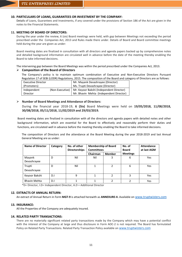## **10. PARTICULARS OF LOANS, GUARANTEES OR INVESTMENT BY THE COMPANY:**

Details of Loans, Guarantees and Investments, if any covered under the provisions of Section 186 of the Act are given in the notes to the Financial Statements.

## **11. MEETING OF BOARD OF DIRECTORS:**

During the year under the review, 6 (six) Board meetings were held, with gap between Meetings not exceeding the period prescribed under the Companies Act, 2013 and Rules made there under. Details of Board and Board committee meetings held during the year are given as under:

Board meeting dates are finalized in consultation with all directors and agenda papers backed up by comprehensive notes and detailed background information are circulated well in advance before the date of the meeting thereby enabling the Board to take informed decisions.

The intervening gap between the Board Meetings was within the period prescribed under the Companies Act, 2013.

## **Composition of the Board of Directors**

The Company's policy is to maintain optimum combination of Executive and Non-Executive Directors Pursuant Regulation 17 of SEBI (LODR) Regulations, 2015. The composition of the Board and category of Directors are as follows:

| Executive Director |                 | Mr. Mayank Devashrayee (Director)        |
|--------------------|-----------------|------------------------------------------|
| (Promoters)        |                 | Ms. Trupti Devashrayee (Director)        |
| Independent        | (Non-Executive) | Mr. Keyoor Bakshi (Independent Director) |
| Director           |                 | Mr. Bhavin Mehta (Independent Director)  |

## **Number of Board Meetings and Attendance of Directors:**

During the financial year 2018-19, **6 (Six)** Board Meetings were held on **19/05/2018, 11/08/2018, 30/08/2018, 05/11/2018, 11/02/2019 and 29/03/2019.** 

Board meeting dates are finalized in consultation with all the directors and agenda papers with detailed notes and other background information, which are essential for the Board to effectively and reasonably perform their duties and functions, are circulated well in advance before the meeting thereby enabling the Board to take informed decisions.

The composition of Directors and the attendance at the Board Meeting during the year 2018-2019 and last Annual General Meeting are as under:

| <b>Name of Director</b> | Category | No. of other<br><b>Directorships</b> | <b>Membership of Board</b><br><b>Committees</b> |                | No. of<br><b>Board</b> | <b>Attendance</b><br>at last AGM |
|-------------------------|----------|--------------------------------------|-------------------------------------------------|----------------|------------------------|----------------------------------|
|                         |          |                                      | Chairman                                        | <b>Member</b>  | <b>Meetings</b>        |                                  |
| Mayank<br>Devashrayee   | D        | Nil                                  | Nil                                             | 3              | 6                      | Yes                              |
| Trupti<br>Devashrayee   | D        | Nil                                  |                                                 | $\overline{2}$ | 6                      | Yes                              |
| Keyoor Bakshi           | D.I      | 9                                    |                                                 | 2              | 3                      | Yes                              |
| <b>Bhavin Mehta</b>     | D.I      |                                      |                                                 | 2              | 2                      | <b>Yes</b>                       |

\*D= Director, I.D= Independent Director, A.D = Additional Director

## **12. EXTRACTS OF ANNUAL RETURN:**

An extract of Annual Return in Form **MGT-9** is attached herewith as **ANNEXURE-II.** Available on www.truptwisters.com

## **13. INSURANCE:**

All the Properties of the Company are adequately insured.

## **14. RELATED PARTY TRANSACTIONS:**

There are no materially significant related party transactions made by the Company which may have a potential conflict with the interest of the Company at large and thus disclosure in Form AOC-2 is not required. The Board has formulated Policy on Related Party Transactions. Related Party Transaction Policy available on www.truptwisters.com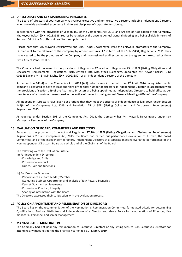## **15. DIRECTORATE AND KEY MANAGERIAL PERSONNEL:**

The Board of Directors of your company has various executive and non-executive directors including Independent Directors who have wide and varied experience in different disciplines of corporate functioning.

In accordance with the provisions of Section 152 of the Companies Act, 2013 and Articles of Association of the Company, Mr. Keyoor Bakshi (DIN: 00133588) retires by rotation at the ensuing Annual General Meeting and being eligible in terms of Section 164 of the Act offers himself for re-appointment.

Please note that Mr. Mayank Devashrayee and Mrs. Trupti Devashrayee were the erstwhile promoters of the Company. Subsequent to the takeover of the Company by Ardent Ventures LLP in terms of the SEBI (SAST) Regulations, 2011, they have ceased to be the promoters of the Company and have resigned as directors as per the agreement executed by them with Ardent Ventures LLP.

The Company had, pursuant to the provisions of Regulation 17 read with Regulation 25 of SEBI (Listing Obligations and Disclosures Requirements) Regulations, 2015 entered into with Stock Exchanges, appointed Mr. Keyoor Bakshi (DIN: 00133588) and Mr. Bhavin Mehta (DIN: 00023850), as an Independent Directors of the Company.

As per section 149(4) of the Companies Act, 2013 (Act), which came into effect from  $1<sup>st</sup>$  April, 2014, every listed public company is required to have at least one-third of the total number of directors as Independent Director. In accordance with the provisions of section 149 of the Act, these Directors are being appointed as Independent Directors to hold office as per their tenure of appointment mentioned in the Notice of the forthcoming Annual General Meeting (AGM) of the Company.

All Independent Directors have given declarations that they meet the criteria of independence as laid down under Section 149(6) of the Companies Act, 2013 and Regulation 25 of SEBI (Listing Obligations and Disclosures Requirements) Regulations, 2015.

As required under Section 203 of the Companies Act, 2013, the Company has Mr. Mayank Devashrayee under Key Managerial Personnel of the Company.

#### **16. EVALUATION OF BOARD, COMMITTEES AND DIRECTORS:**

Pursuant to the provisions of the Act and Regulation 17(10) of SEBI (Listing Obligations and Disclosures Requirements) Regulations, 2015 and Companies Act, 2013, the Board had carried out performance evaluation of its own, the Board Committees and of the Independent directors. Independent Directors at a separate meeting evaluated performance of the Non-Independent Directors, Board as a whole and of the Chairman of the Board.

The following were the Evaluation Criteria:

(a) For Independent Directors:

- Knowledge and Skills
- Professional conduct
- Duties, Role and functions

(b) For Executive Directors:

- Performance as Team Leader/Member.
- Evaluating Business Opportunity and analysis of Risk Reward Scenarios
- Key set Goals and achievements
- Professional Conduct, Integrity
- Sharing of Information with the Board

The Directors expressed their satisfaction with the evaluation process.

#### **17. POLICY ON APPOINTMENT AND REMUNERATION OF DIRECTORS:**

The Board has on the recommendation of the Nomination & Remuneration Committee, formulated criteria for determining Qualifications, Positive Attributes and Independence of a Director and also a Policy for remuneration of Directors, Key managerial Personnel and senior management.

#### **18. MANAGERIAL REMUNERATION**

The Company had not paid any remuneration to Executive Directors or any sitting fees to Non-Executives Directors for attending any meetings during the financial year ended  $31<sup>st</sup>$  March, 2019.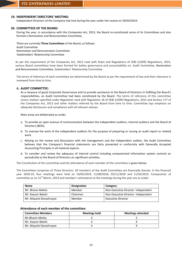## **19. INDEPENDENT DIRECTORS' MEETING:**

Independent Directors of the Company had met during the year under the review on 29/03/2019.

## **20. COMMITTEES OF THE BOARD:**

During the year, in accordance with the Companies Act, 2013, the Board re-constituted some of its Committees and also formed a Nomination and Remuneration Committee.

There are currently **Three Committees** of the Board, as follows: Audit Committee Nomination and Remuneration Committee Stakeholders' Relationship Committee

As per the requirement of the Companies Act, 2013 read with Rules and Regulations of SEBI (LODR) Regulations, 2015, various Board committees have been formed for better governance and accountability viz. Audit Committee, Nomination and Remuneration Committee, Stakeholders' Relationship Committee.

The terms of reference of each committee are determined by the Board as per the requirement of law and their relevance is reviewed from time to time.

## **A. AUDIT COMMITTEE:**

As a measure of good Corporate Governance and to provide assistance to the Board of Directors in fulfilling the Board's responsibilities, an Audit Committee had been constituted by the Board. The terms of reference of this committee covers matters specified under Regulation read with Regulation 18 of SEBI (LODR) Regulations, 2015 and Section 177 of the Companies Act, 2013 and other matters referred by the Board from time to time. Committee lays emphasis on adequate disclosures and compliance with all relevant statues.

Main areas are deliberated as under.

- a. To provide an open avenue of communication between the independent auditors, internal auditors and the Board of Directors (BOD).
- b. To oversee the work of the independent auditors for the purpose of preparing or issuing an audit report or related work.
- c. Relying on the review and discussions with the management and the independent auditor, the Audit Committee believes that the Company's financial statements are fairly presented in conformity with Generally Accepted Accounting Principles in all material aspects.
- d. To consider and review the adequacy of internal control including computerized information system controls an periodically to the Board of Directors on significant activities.

The Constitution of the committee and the attendance of each member of the committee is given below:

The Committee comprises of Three Directors. All members of the Audit Committee are financially literate. In the financial year 2018-19, four meetings were held on 19/05/2019, 11/08/2018, 05/11/2018 and 11/02/2019. Composition of committee as on  $31<sup>st</sup>$  March, 2019 and member's attendance at the meetings during the year are as under:

| <b>Name</b>            | <b>Designation</b> | Category                           |
|------------------------|--------------------|------------------------------------|
| Mr. Bhavin Mehta       | Member             | Non-Executive Director Independent |
| Mr. Keyoor Bakshi      | Chairman           | Non-Executive Director Independent |
| Mr. Mayank Devashrayee | Member             | <b>Executive Director</b>          |

## **Attendance of each member of the committee:**

| <b>Committee Members</b> | Meetings held | <b>Meetings attended</b> |
|--------------------------|---------------|--------------------------|
| Mr.Bhavin Mehta          |               |                          |
| Mr. Keyoor Bakshi        |               |                          |
| Mr. Mayank Devashrayee   |               |                          |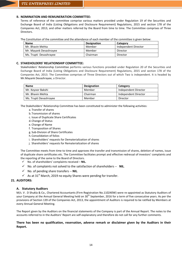## **B. NOMINATION AND REMUNERATION COMMITTEE:**

Terms of reference of the committee comprise various matters provided under Regulation 19 of the Securities and Exchange Board of India (Listing Obligations and Disclosure Requirement) Regulations, 2015 and section 178 of the Companies Act, 2013, and other matters referred by the Board from time to time. The Committee comprises of Three Directors.

The Constitution of the committee and the attendance of each member of the committee is given below:

| <b>Name</b>            | <b>Designation</b> | Category             |
|------------------------|--------------------|----------------------|
| Mr. Bhavin Mehta       | Member             | Independent Director |
| Mr. Mayank Devashrayee | Member             | Director             |
| Ms. Trupti Devashrayee | Chairman           | Director             |

#### **C. STAKEHOLDERS' RELATIONSHIP COMMITTEE:**

Stakeholders' Relationship Committee performs various functions provided under Regulation 20 of the Securities and Exchange Board of India (Listing Obligations and Disclosure Requirement) Regulations, 2015 and section 178 of the Companies Act, 2013. The Committee comprises of Three Directors out of which Two is independent. It is headed by Mr.Mayank Devashrayee, a Director.

| <b>Name</b>            | <b>Designation</b> | Category             |
|------------------------|--------------------|----------------------|
| Mr. Keyoor Bakshi      | Member             | Independent Director |
| Mr. Bhavin Mehta       | Chairman           | Independent Director |
| Ms. Trupti Devashrayee | Member             | Director             |

The Stakeholders' Relationship Committee has been constituted to administer the following activities:

- a. Transfer of shares
- b.Transmission of shares
- c. Issue of Duplicate Share Certificates
- d.Change of Status
- e. Change of Name
- f. Transposition of Shares
- g. Sub-Division of Share Certificates
- h.Consolidation of folios
- i. Shareholders' requests for Dematerialization of shares
- j. Shareholders' requests for Rematerialization of shares

The Committee meets from time to time and approves the transfer and transmission of shares, deletion of names, issue of duplicate share certificates etc. The Committee facilitates prompt and effective redressal of investors' complaints and the reporting of the same to the Board of Directors.

- $\checkmark$  No. of shareholders' complaints received  $-$  **NIL.**
- No. of complaints not solved to the satisfaction of shareholders -- **NIL**.
- No. of pending share transfers -- **NIL**.
- $\checkmark$  As at 31<sup>st</sup> March, 2019 no equity Shares were pending for transfer.

#### **21. AUDITORS:**

#### **A. Statutory Auditors**

M/s. V . D Shukla & Co., Chartered Accountants (Firm Registration No.110240W) were re-appointed as Statutory Auditors of your Company at the Annual General Meeting held on 30<sup>th</sup> September, 2016 for a term of five consecutive years. As per the provisions of Section 139 of the Companies Act, 2013, the appointment of Auditors is required to be ratified by Members at every Annual General Meeting.

The Report given by the Auditors on the financial statements of the Company is part of the Annual Report. The notes to the accounts referred to in the Auditors' Report are self-explanatory and therefore do not call for any further comments.

## **There has been no qualification, reservation, adverse remark or disclaimer given by the Auditors in their Report.**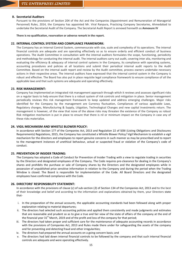## **B. Secretarial Auditors**

Pursuant to the provisions of Section 204 of the Act and the Companies (Appointment and Remuneration of Managerial Personnel) Rules, 2014, the Company has appointed Mr. Viral Ranpura, Practicing Company Secretaries, Ahmedabad to undertake the Secretarial Audit of the Company. The Secretarial Audit Report is annexed herewith as **Annexure IV**

**There is no qualification, reservation or adverse remark in the report.**

#### **22. INTERNAL CONTROL SYSTEM AND COMPLIANCE FRAMEWORK:**

The Company has an Internal Control System, commensurate with size, scale and complexity of its operations. The internal financial controls are adequate and are operating effectively so as to ensure orderly and efficient conduct of business operations. The Audit Committee in consultation with the internal auditors formulates the scope, functioning, periodicity and methodology for conducting the internal audit. The internal auditors carry out audit, covering inter alia, monitoring and evaluating the efficiency & adequacy of internal control systems in the Company, its compliance with operating systems, accounting procedures and policies at all locations and submit their periodical internal audit reports to the Audit Committee. Based on the internal audit report and review by the Audit committee, process owners undertake necessary actions in their respective areas. The internal auditors have expressed that the internal control system in the Company is robust and effective. The Board has also put in place requisite legal compliance framework to ensure compliance of all the applicable laws and that such systems are adequate and operating effectively.

#### **23. RISK MANAGEMENT:**

Company has implemented an integrated risk management approach through which it reviews and assesses significant risks on a regular basis to help ensure that there is a robust system of risk controls and mitigation in place. Senior management periodically reviews this risk management framework to keep updated and address emerging challenges. Major risks identified for the Company by the management are Currency fluctuation, Compliances of various applicable Laws, Regulatory changes, Manufacturing & Supply, Litigation, Technological Changes and new capital investments return. The management is however, of the view that none of the above risks may threaten the existence of the Company as robust Risk mitigation mechanism is put in place to ensure that there is nil or minimum impact on the Company in case any of these risks materialize.

#### **24. VIGIL MECHANISM AND WHISTLE BLOWER POLICY:**

In accordance with Section 177 of the Companies Act, 2013 and Regulation 22 of SEBI (Listing Obligations and Disclosures Requirements) Regulations, 2015, the Company has constituted a Whistle Blower Policy/ Vigil Mechanism to establish a vigil mechanism for the directors and employees to report genuine concerns in such manner as may be prescribed and to report to the management instances of unethical behaviour, actual or suspected fraud or violation of the Company's code of conduct.

#### **25. PREVENTION OF INSIDER TRADING:**

The Company has adopted a Code of Conduct for Prevention of Insider Trading with a view to regulate trading in securities by the Directors and designated employees of the Company. The Code requires pre-clearance for dealing in the Company's shares and prohibits the purchase or sale of Company shares by the Directors and the designated employees while in possession of unpublished price sensitive information in relation to the Company and during the period when the Trading Window is closed. The Board is responsible for implementation of the Code. All Board Directors and the designated employees have confirmed compliance with the Code.

#### **26. DIRECTORS' RESPONSIBILITY STATEMENT:**

In accordance with the provisions of clause (*c*) of sub-section (*3*) of Section 134 of the Companies Act, 2013 and to the best of their knowledge and belief and according to the information and explanations obtained by them, your Directors state that-

- i. In the preparation of the annual accounts, the applicable accounting standards had been followed along with proper explanation relating to material departures;
- ii. The directors had selected such accounting policies and applied them consistently and made judgments and estimates that are reasonable and prudent so as to give a true and fair view of the state of affairs of the company at the end of the financial year  $31<sup>st</sup>$  March, 2019 and of the profit and loss of the company for that period;
- iii. The directors had taken proper and sufficient care for the maintenance of adequate accounting records in accordance with the provisions of Companies Act, 2013 and Rules made there under for safeguarding the assets of the company and for preventing and detecting fraud and other irregularities;
- iv. The directors had prepared the annual accounts on a going concern basis; and
- v. The directors had laid down internal financial controls to be followed by the company and that such internal financial controls are adequate and were operating effectively.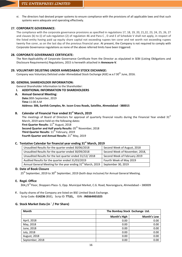vi. The directors had devised proper systems to ensure compliance with the provisions of all applicable laws and that such systems were adequate and operating effectively.

## **27. CORPORATE GOVERNANCE:**

The compliance with the corporate governance provisions as specified in regulations 17, 18, 19, 20, 21,22, 23, 24, 25, 26, 27 and clauses (b) to (i) of sub-regulation (2) of regulation 46 and Para C , D and E of Schedule V shall not apply, in respect of the listed entity having paid up equity share capital not exceeding rupees ten corer and net worth not exceeding rupees twenty five corer, as on the last day of the previous financial year. At present, the Company is not required to comply with Corporate Governance regulations as none of the above referred limits have been triggered.

## **28. CORPORATE GOVERNANCE CERTIFICATE:**

The Non-Applicability of Corporate Governance Certificate from the Director as stipulated in SEBI (Listing Obligations and Disclosure Requirements) Regulations, 2015 is herewith attached in **Annexure-V**.

## **29. VOLUNTARY DELISTING UNDER AHMEDABAD STOCK EXCHANGE:**

Company was Voluntary Delisted under Ahmedabad Stock Exchange (ASE) w.e.f 30<sup>th</sup> June, 2016.

## **30. GENERAL SHAREHOLDER INFORMATION:**

General Shareholder Information to the Shareholder:

## **I. ADDITIONAL INFORMATION TO SHAREHOLDERS**

**A. Annual General Meeting: Date:**30th September, 2019

**Time**:11:00 A.M **Address: 306, Sarthik Complex, Nr. Iscon Cross Roads, Satellite, Ahmedabad - 380015**

## **B. Calendar of Financial Year ended 31st March, 2019**

The meetings of Board of Directors for approval of quarterly financial results during the Financial Year ended  $31<sup>st</sup>$ March, 2019 were held on the following dates: First Quarter Results: 11<sup>th</sup> August, 2018 **Second Quarter and Half yearly Results: 05<sup>th</sup> November, 2018** Third Quarter Results: 11<sup>th</sup> February, 2019 **Fourth Quarter and Annual Results: 21st May, 2019** 

## **C. Tentative Calendar for financial year ending 31st March, 2019**

| Unaudited Results for the quarter ended 30/06/2018                      | Second Week of August, 2018    |
|-------------------------------------------------------------------------|--------------------------------|
| Unaudited Results for the quarter ended 30/09/2018                      | Second Week of November, 2018, |
| Unaudited Results for the last quarter ended 31/12/2018                 | Second Week of February 2019   |
| Audited Results for the quarter ended 31/03/2019                        | Fourth Week of May 2019        |
| Annual General Meeting for the year ending 31 <sup>st</sup> March, 2019 | September 30, 2019             |

## **D. Date of Book Closure**

25<sup>th</sup> September, 2019 to 30<sup>th</sup> September, 2019 (both days inclusive) for Annual General Meeting.

## **E. Regd. Office**

 $304$ ,/3<sup>rd</sup> Floor, Shoppers Plaza -5, Opp. Municipal Market, C.G. Road, Navrangpura, Ahmedabad – 380009

**F.** Equity shares of the Company are listed on BSE Limited Stock Exchange. Scrip Code:-**514236** (BSE), Scrip ID: **TTLEL,** ISIN : **INE664X01025**

## **G. Stock Market Data (in ` / Per Share)**

| <b>Month</b>        | The Bombay Stock Exchange Ltd. |                    |
|---------------------|--------------------------------|--------------------|
|                     | Month's High                   | <b>Month's Low</b> |
| April, 2018         | 0.00                           | 0.00               |
| May, 2018           | 0.00                           | 0.00               |
| June, 2018          | 0.00                           | 0.00               |
| July, 2018          | 0.00                           | 0.00               |
| <b>August, 2018</b> | 0.00                           | 0.00               |
| September, 2018     | 0.00                           | 0.00               |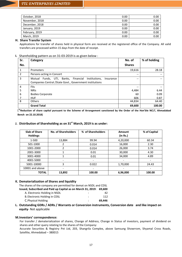| October, 2018  | 0.00 | 0.00 |
|----------------|------|------|
| November, 2018 | 0.00 | 0.00 |
| December, 2018 | 0.00 | 0.00 |
| January, 2019  | 0.00 | 0.00 |
| February, 2019 | 0.00 | 0.00 |
| March, 2019    | 0.00 | 0.00 |

## **H. Share Transfer System**

Applications for transfer of shares held in physical form are received at the registered office of the Company. All valid transfers are processed within 15 days from the date of receipt.

## **I.** Shareholding pattern as on 31-03-2019 is as given below :

| Sr.            | Category                                                                                                                         | No. of        | % of holding |
|----------------|----------------------------------------------------------------------------------------------------------------------------------|---------------|--------------|
| No.            |                                                                                                                                  | <b>Shares</b> |              |
| $\mathbf{1}$   | Promoters                                                                                                                        | 19,616        | 28.18        |
| 2              | Persons acting in Concert                                                                                                        | $-$           | --           |
| 3              | Funds, UTI, Banks, Financial<br>Mutual<br>Institutions,<br>Insurance<br>Companies Central / State Govt., Government institutions | $- -$         | --           |
| $\overline{4}$ | <b>FIIs</b>                                                                                                                      | --            |              |
| 5              | <b>NRIS</b>                                                                                                                      | 4,484         | 6.44         |
| 6              | <b>Bodies Corporate</b>                                                                                                          | 60            | 0.09         |
|                | <b>HUF</b>                                                                                                                       | 606           | 0.87         |
| 8              | <b>Others</b>                                                                                                                    | 44,834        | 64.40        |
|                | <b>Grand Total</b>                                                                                                               | 69,600        | 100.00       |

(\***Reduction of share capital pursuant to the Scheme of Arrangement sanctioned by the Order of the Hon'ble NCLT, Ahmadabad Bench on 22.10.2018)**

## **J. Distribution of Shareholding as on 31st March, 2019 is as under:**

| <b>Slab of Share</b><br><b>Holdings</b> | <b>No. of Shareholders</b> | % of Shareholders | Amount<br>(in Rs.) | % of Capital |
|-----------------------------------------|----------------------------|-------------------|--------------------|--------------|
| 1-500                                   | 13,884                     | 99.94             | 4,20,000           | 60.34        |
| 501-1000                                | 2                          | 0.014             | 16,000             | 2.30         |
| 1001-2000                               | 2                          | 0.014             | 26,000             | 3.74         |
| 2001-3000                               |                            | 0.01              | 30,000             | 4.30         |
| 3001-4000                               |                            | 0.01              | 34,000             | 4.89         |
| 4001-5000                               |                            |                   |                    |              |
| 5001-10000                              | 3                          | 0.022             | 1,70,000           | 24.43        |
| 10001 and above                         | -                          | ٠                 |                    | -            |
| <b>TOTAL</b>                            | 13,892                     | 100.00            | 6,96,000           | 100.00       |

#### **K. Dematerialization of Shares and liquidity**

The shares of the company are permitted for demat on NSDL and CDSL

| Issued, Subscribed and Paid up Capital as on March 31, 2019: 69,600 |        |
|---------------------------------------------------------------------|--------|
| A. Electronic Holding in NSDL                                       | 42     |
| B. Electronic Holding in CDSL                                       | 112    |
| C. Physical Holding                                                 | 69.446 |

## **L. Outstanding GDRs / ADRs / Warrants or Conversion instruments, Conversion date and like impact on equity**- Not applicable

#### **M.Investors' correspondence:**

For transfer / dematerialization of shares, Change of Address, Change in Status of investors, payment of dividend on shares and other query relating to the shares of the Company:

Accurate Securities & Registry Pvt Ltd, 203, Shangrila Complex, above Samsung Showrrom, Shyamal Cross Roads, Satellite, Ahmedabad – 380015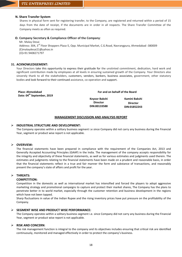## **N. Share Transfer System**

Shares in physical form sent for registering transfer, to the Company, are registered and returned within a period of 15 days from the date of receipt, if the documents are in order in all respects. The Share Transfer Committee of the Company meets as often as required.

## **O. Company Secretary & Compliance Officer of the Company**:

Mr. Malay Desai Address: 304, 3<sup>rd</sup> Floor Shoppers Plaza-5, Opp. Municipal Market, C.G.Road, Navrangpura, Ahmedabad -380009 (E)malaydesai21@yahoo.in (O)+91 9408271797

## **31. ACKNOWLEDGEMENT:**

Your Directors take this opportunity to express their gratitude for the unstinted commitment, dedication, hard work and significant contribution made by employees at all levels in ensuring sustained growth of the Company. Your Directors also sincerely thank to all the stakeholders, customers, vendors, bankers, business associates, government, other statutory bodies and look forward to their continued assistance, co-operation and support.

| Place: Ahmedabad<br>Date: 04 <sup>th</sup> September, 2019 |                                                  | For and on behalf of the Board                   |
|------------------------------------------------------------|--------------------------------------------------|--------------------------------------------------|
|                                                            | Keyoor Bakshi<br><b>Director</b><br>DIN:00133588 | Kamini Bakshi<br><b>Director</b><br>DIN:01852243 |

## **MANAGEMENT DISCUSSION AND ANALYSIS REPORT**

## **INDUSTRIAL STRUCTURE AND DEVELOPMENT:**

The Company operates within a solitary business segment i.e since Company did not carry any business during the Financial Year, segment or product wise report is not applicable.

## **OVERVIEW:**

The financial statements have been prepared in compliance with the requirement of the Companies Act, 2013 and Generally Accepted Accounting Principles (GAAP) in the India. The management of the company accepts responsibility for the integrity and objectivity of these financial statements, as well as for various estimates and judgments used therein. The estimates and judgments relating to the financial statements have been made on a prudent and reasonable basis, in order that the financial statements reflect in a true and fair manner the form and substance of transactions, and reasonably present the company's state of affairs and profit for the year.

## **THREATS:**

## **COMPETITION:**

Competition in the domestic as well as international market has intensified and forced the players to adopt aggressive marketing strategy and promotional campaigns to capture and protect their market shares, The Company has the plans to penetrate better in to world market, especially through the customer retention and business development in the regions which have not been tapped.

Sharp fluctuations in value of the Indian Rupee and the rising inventory prices have put pressure on the profitability of the Company.

## **SEGMENT WISE AND PRODUCT WISE PERFORMANCE:**

The Company operates within a solitary business segment i.e. since Company did not carry any business during the Financial Year, segment or product wise report is not applicable.

## **RISK AND CONCERN**:

The risk management function is integral to the company and its objectives includes ensuring that critical risk are identified continuously, monitored and managed effectively in order to protect the company's business.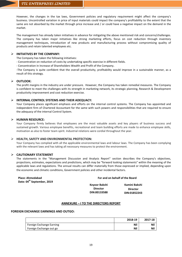However, the changes in the tax laws, Government policies and regulatory requirement might affect the company's business. Uncontrolled variation in price of input materials could impact the company's profitability to the extent that the same are not absorbed by the market through price increase and / or could have a negative impact on the demand in the market.

The management has already taken initiatives in advance for mitigating the above mentioned risk and concerns/challenges. The company has taken major initiatives like strong marketing efforts, focus on cost reduction through inventory management techniques, introduction of new products and manufacturing process without compromising quality of products and retain talented employees etc.

## **INITIATIVES BY THE COMPANY:**

The Company has taken the following initiatives:

- Concentration on reduction of costs by undertaking specific exercise in different fields.

- Concentration in Increase of Shareholders Wealth and Profit of the Company.

-The Company is quite confident that the overall productivity, profitability would improve in a sustainable manner, as a result of this strategy.

## **OUTLOOK:**

The profit margins in the industry are under pressure. However, the Company has taken remedial measures. The Company is confident to meet the challenges with its strength in marketing network, its strategic planning, Research & Development productivity improvement and cost reduction exercise.

## **INTERNAL CONTROL SYSTEMS AND THEIR ADEQUACY:**

Your Company places significant emphasis and efforts on the internal control systems. The Company has appointed and independent firm of Chartered Accountant for the same with such powers and responsibilities that are required to ensure the adequacy of the internal Control System.

## **HUMAN RESOURCE:**

Your Company firmly believes that employees are the most valuable assets and key players of business success and sustained growth. Various employee benefits, recreational and team building efforts are made to enhance employee skills, motivation as also to foster team spirit. Industrial relations were cordial throughout the year.

## **HEALTH, SAFETY AND ENVIRONMENTAL PROTECTION:**

Your Company has complied with all the applicable environmental laws and labour laws. The Company has been complying with the relevant laws and has taking all necessary measures to protect the environment.

## **CAUTIONARY STATEMENT**

The statements in the "Management Discussion and Analysis Report" section describes the Company's objectives, projections, estimates, expectations and predictions, which may be "forward looking statements" within the meaning of the applicable laws and regulations. The annual results can differ materially from those expressed or implied, depending upon the economic and climatic conditions, Government policies and other incidental factors.

| <b>Place: Ahmedabad</b><br>Date: 04 <sup>th</sup> September, 2019 | For and on behalf of the Board |                 |
|-------------------------------------------------------------------|--------------------------------|-----------------|
|                                                                   | Keyoor Bakshi                  | Kamini Bakshi   |
|                                                                   | <b>Director</b>                | <b>Director</b> |
|                                                                   | DIN:00133588                   | DIN:01852243    |

## **ANNEXURE – I TO THE DIRECTORS REPORT**

#### **FOREIGN EXCHANGE EARNINGS AND OUTGO:**

|                          | 2018-19 | 2017-18    |
|--------------------------|---------|------------|
| Foreign Exchange Earning | Nil     | Nil        |
| Foreign Exchange out go  | Nil     | <b>Nil</b> |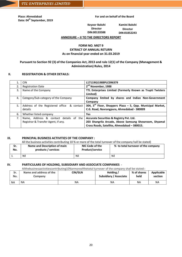**Place: Ahmedabad Date: 04th September, 2019**

## **For and on behalf of the Board For and on behalf of the Board**

**Keyoor Bakshi Director DIN:00133588**

**Kamini Bakshi Director DIN:01852243**

## **ANNEXURE – II TO THE DIRECTORS REPORT**

## **FORM NO. MGT 9 EXTRACT OF ANNUAL RETURN As on financial year ended on 31.03.2019**

## **Pursuant to Section 92 (3) of the Companies Act, 2013 and rule 12(1) of the Company (Management & Administration) Rules, 2014**

## **II. REGISTRATION & OTHER DETAILS:**

|    | <b>CIN</b>                                                                    | L17119GJ1988PLC096379                                                                                                                            |
|----|-------------------------------------------------------------------------------|--------------------------------------------------------------------------------------------------------------------------------------------------|
| 2. | <b>Registration Date</b>                                                      | 2 <sup>nd</sup> November, 1988                                                                                                                   |
| 3. | Name of the Company                                                           | TTL Enterprises Limited (Formerly Known as Trupti Twisters<br>Limited)                                                                           |
| 4. | Category/Sub-category of the Company                                          | Company limited by shares and Indian Non-Government<br>Company                                                                                   |
| 5. | Address of the Registered office<br>& contact<br>details                      | 304, $3^{rd}$ Floor, Shoppers Plaza - 5, Opp. Municipal Market,<br>C.G. Road, Navrangpura, Ahmedabad - 380009                                    |
| 6. | Whether listed company                                                        | <b>Yes</b>                                                                                                                                       |
| 7. | Name, Address & contact details of the<br>Registrar & Transfer Agent, if any. | Accurate Securities & Registry Pvt. Ltd.<br>203 Shangrila Arcade, Above Samsung Showroom, Shyamal<br>Cross Roads, Satellite, Ahmedabad - 380015. |

## **III. PRINCIPAL BUSINESS ACTIVITIES OF THE COMPANY :**

All the business activities contributing 10 % or more of the total turnover of the company hall be stated)

| Sr. | Name and Description of main | NIC Code of the        | % to total turnover of the company |
|-----|------------------------------|------------------------|------------------------------------|
| No. | products / services          | <b>Product/service</b> |                                    |
|     | Nil                          | Nil                    | Nil                                |

## **IV. PARTICULARS OF HOLDING, SUBSIDIARY AND ASSOCIATE COMPANIES** -

Allthebusinessactivitiescontributing10%ormoreofthetotal turnover of the company shall be stated:-

| Sr.<br>No. | Name and address of the<br>Company | CIN/GLN | Holding /<br>Subsidiary / Associate | % of shares<br>held | Applicable<br>section |
|------------|------------------------------------|---------|-------------------------------------|---------------------|-----------------------|
| <b>NA</b>  | <b>NA</b>                          | ΝA      | ΝA                                  | <b>NA</b>           | <b>NA</b>             |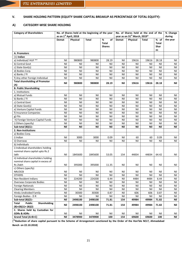# **V. SHARE HOLDING PATTERN (EQUITY SHARE CAPITAL BREAKUP AS PERCENTAGE OF TOTAL EQUITY):**

## **A) CATEGORY-WISE SHARE HOLDING**

| No. of Shares held at the beginning of the year<br><b>Category of Shareholders</b> |                       |          |         | No. of Shares held at the end of the<br>year as on 31st March, 2019* |              |          |              |                             | % Change |
|------------------------------------------------------------------------------------|-----------------------|----------|---------|----------------------------------------------------------------------|--------------|----------|--------------|-----------------------------|----------|
|                                                                                    | as on 1st April, 2018 |          |         |                                                                      |              |          |              |                             | during   |
|                                                                                    | <b>Demat</b>          | Physical | Total   | %<br>of<br><b>Total</b><br><b>Shares</b>                             | <b>Demat</b> | Physical | <b>Total</b> | % of<br>Total<br>Shar<br>es | the year |
| A. Promoters                                                                       |                       |          |         |                                                                      |              |          |              |                             |          |
| $(1)$ Indian                                                                       |                       |          |         |                                                                      |              |          |              |                             |          |
| a) Individual/HUF **                                                               | Nil                   | 980800   | 980800  | 28.19                                                                | Nil          | 19616    | 19616        | 28.18                       | Nil      |
| b) Central Govt                                                                    | Nil                   | Nil      | Nil     | Nil                                                                  | Nil          | Nil      | Nil          | Nil                         | Nil      |
| c) State Govt(s)                                                                   | Nil                   | Nil      | Nil     | Nil                                                                  | Nil          | Nil      | Nil          | Nil                         | Nil      |
| d) Bodies Corp.                                                                    | Nil                   | Nil      | Nil     | Nil                                                                  | Nil          | Nil      | Nil          | Nil                         | Nil      |
| e) Banks / Fl                                                                      | Nil                   | Nil      | Nil     | Nil                                                                  | Nil          | Nil      | Nil          | Nil                         | Nil      |
| f) Any other Foreign Individual                                                    | Nil                   | Nil      | Nil     | Nil                                                                  | Nil          | Nil      | Nil          | Nil                         | Nil      |
| <b>Total shareholding of Promoter</b>                                              |                       |          |         |                                                                      |              |          |              |                             |          |
| (A)                                                                                | Nil                   | 980800   | 980800  | 28.19                                                                | Nil          | 19616    | 19616        | 28.18                       | Nil      |
| <b>B. Public Shareholding</b>                                                      |                       |          |         |                                                                      |              |          |              |                             |          |
| 1. Institutions                                                                    |                       |          |         |                                                                      |              |          |              |                             |          |
| a) Mutual Funds                                                                    | Nil                   | Nil      | Nil     | Nil                                                                  | Nil          | Nil      | Nil          | Nil                         | Nil      |
| b) Banks / FI                                                                      | Nil                   | Nil      | Nil     | Nil                                                                  | Nil          | Nil      | Nil          | Nil                         | Nil      |
| c) Central Govt                                                                    | Nil                   | Nil      | Nil     | Nil                                                                  | Nil          | Nil      | Nil          | Nil                         | Nil      |
| d) State Govt(s)                                                                   | Nil                   | Nil      | Nil     | Nil                                                                  | Nil          | Nil      | Nil          | Nil                         | Nil      |
| e) Venture Capital Funds                                                           | Nil                   | Nil      | Nil     | Nil                                                                  | Nil          | Nil      | Nil          | Nil                         | Nil      |
| f) Insurance Companies                                                             | Nil                   | Nil      | Nil     | Nil                                                                  | Nil          | Nil      | Nil          | Nil                         | Nil      |
| g) FIIs                                                                            | Nil                   | Nil      | Nil     | Nil                                                                  | Nil          | Nil      | Nil          | Nil                         | Nil      |
| h) Foreign Venture Capital Funds                                                   | Nil                   | Nil      | Nil     | Nil                                                                  | Nil          | Nil      | Nil          | Nil                         | Nil      |
| i) Others (specify)                                                                | Nil                   | Nil      | Nil     | Nil                                                                  | Nil          | Nil      | Nil          | Nil                         | Nil      |
| Sub-total $(B)(1)$ :-                                                              | <b>Nil</b>            | Nil      | Nil     | Nil                                                                  | Nil          | Nil      | Nil          | Nil                         | Nil      |
| 2. Non-Institutions                                                                |                       |          |         |                                                                      |              |          |              |                             |          |
| a) Bodies Corp.                                                                    |                       |          |         |                                                                      |              |          |              |                             |          |
| i) Indian                                                                          | Nil                   | 3000     | 3000    | 0.09                                                                 | Nil          | 60       | 60           | 0.09                        | Nil      |
| ii) Overseas                                                                       | Nil                   | Nil      | Nil     | Nil                                                                  | Nil          | Nil      | Nil          | Nil                         | Nil      |
| b) Individuals                                                                     |                       |          |         |                                                                      |              |          |              |                             |          |
| i) Individual shareholders holding                                                 |                       |          |         |                                                                      |              |          |              |                             |          |
| nominal share capital upto Rs.2                                                    |                       |          |         |                                                                      |              |          |              |                             |          |
| lakh                                                                               | Nil                   | 1845600  | 1845600 | 53.05                                                                | 154          | 44834    | 44834        | 64.42                       | Nil      |
| ii) Individual shareholders holding<br>nominal share capital in excess of          |                       |          |         |                                                                      |              |          |              |                             |          |
| Rs 2lakh                                                                           | Nil                   | 395000   | 395000  | 11.35                                                                | Nil          | Nil      | Nil          | Nil                         | Nil      |
| c) Others (specify)                                                                |                       |          |         |                                                                      |              |          |              |                             |          |
| NRI/OCB                                                                            | Nil                   | Nil      | Nil     | Nil                                                                  | Nil          | Nil      | Nil          | Nil                         | Nil      |
| <b>OTHERS</b>                                                                      | Nil                   | Nil      | Nil     | Nil                                                                  | Nil          | Nil      | Nil          | Nil                         | Nil      |
| Non Resident Indians                                                               | Nil                   | 224200   | 224200  | 6.44                                                                 | Nil          | 4484     | 4484         | 6.44                        | Nil      |
| <b>Overseas Corporate Bodies</b>                                                   | Nil                   | Nil      | Nil     | Nil                                                                  | Nil          | Nil      | Nil          | Nil                         | Nil      |
| <b>Foreign Nationals</b>                                                           | Nil                   | Nil      | Nil     | Nil                                                                  | Nil          | Nil      | Nil          | Nil                         | Nil      |
| <b>Clearing Members</b>                                                            | Nil                   | Nil      | Nil     | Nil                                                                  | Nil          | Nil      | Nil          | Nil                         | Nil      |
| Hindu Undivided Family                                                             | Nil                   | 30300    | 30300   | 0.87                                                                 | Nil          | 606      | 606          | 0.87                        | Nil      |
| Foreign Bodies - D R                                                               | Nil                   | Nil      | Nil     | Nil                                                                  | Nil          | Nil      | Nil          | Nil                         | Nil      |
| Sub-total (B)(2):-                                                                 | Nil                   | 2498100  | 2498100 | 71.81                                                                | 154          | 49984    | 49984        | 71.82                       | Nil      |
| <b>Public</b><br>Shareholding<br>Total                                             | Nil                   | 2498100  |         |                                                                      |              |          |              |                             |          |
| $(B)=(B)(1)+(B)(2)$                                                                |                       |          | 2498100 | 71.81                                                                | 154          | 49984    | 49984        | 71.82                       | Nil      |
| C. Shares held by Custodian for                                                    |                       |          |         |                                                                      |              |          |              |                             |          |
| <b>GDRs &amp; ADRs</b>                                                             | Nil                   | Nil      | Nil     | Nil                                                                  | Nil          | Nil      | Nil          | Nil                         | Nil      |
| Grand Total (A+B+C)                                                                | <b>Nil</b>            | 3478900  | 3478900 | 100                                                                  | 154          | 69600    | 69600        | 100                         | Nil      |

(\***Reduction of share capital pursuant to the Scheme of Arrangement sanctioned by the Order of the Hon'ble NCLT, Ahmadabad Bench on 22.10.2018)**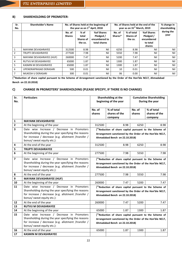## **B) SHAREHOLDING OF PROMOTER-**

| Sr.<br>No.     | <b>Shareholder's Name</b> |                         | the year as on 1 <sup>st</sup> April, 2018   | No. of Shares held at the beginning of                   | No. of Shares held at the end of the<br>year as on 31 <sup>st</sup> March, 2019 |                                           |                                                             |                    |  |
|----------------|---------------------------|-------------------------|----------------------------------------------|----------------------------------------------------------|---------------------------------------------------------------------------------|-------------------------------------------|-------------------------------------------------------------|--------------------|--|
|                |                           | No. of<br><b>Shares</b> | % of<br>total<br><b>Shares of</b><br>the co. | %of Shares<br>Pledged /<br>encumbered to<br>total shares | No. of<br>Shares*                                                               | % of total<br><b>Shares of</b><br>the co. | %of Shares<br>Pledged /<br>encumbered<br>to total<br>shares | during the<br>year |  |
| $\mathbf{1}$   | <b>MAYANK DEVASHRAYEE</b> | 312500                  | 8.98                                         | Nil                                                      | 6250                                                                            | 8.98                                      | Nil                                                         | Nil                |  |
| $\overline{2}$ | <b>TRUPTI DEVASHRAYEE</b> | 277500                  | 7.98                                         | Nil                                                      | 5550                                                                            | 7.98                                      | Nil                                                         | Nil                |  |
| 3              | MAYANK DEVASHRAYEE (HUF)  | 260000                  | 7.47                                         | Nil                                                      | 5200                                                                            | 7.47                                      | Nil                                                         | Nil                |  |
| 4              | RUTVIJ M DEVASHRAYEE      | 65000                   | 1.87                                         | Nil                                                      | 1300                                                                            | 1.87                                      | Nil                                                         | Nil                |  |
| 5              | KASMIN M DEVASHRAYEE      | 65000                   | 1.87                                         | Nil                                                      | 1300                                                                            | 1.87                                      | Nil                                                         | Nil                |  |
| 6              | UPENDRAPRASAD DERASARI    | 500                     | 0.01                                         | Nil                                                      | 10                                                                              | 0.01                                      | Nil                                                         | Nil                |  |
| $\overline{7}$ | MUKESH U DERASARI         | 300                     | 0.01                                         | Nil                                                      | 06                                                                              | 0.00                                      | Nil                                                         | Nil                |  |

(\***Reduction of share capital pursuant to the Scheme of Arrangement sanctioned by the Order of the Hon'ble NCLT, Ahmadabad Bench on 22.10.2018)**

# **C) CHANGE IN PROMOTERS' SHAREHOLDING (PLEASE SPECIFY, IF THERE IS NO CHANGE)**

| Sr.<br>No.              | <b>Particulars</b>                                                                |                                                        | Shareholding at the<br>beginning of the year             | <b>Cumulative Shareholding</b><br>During the year |               |  |
|-------------------------|-----------------------------------------------------------------------------------|--------------------------------------------------------|----------------------------------------------------------|---------------------------------------------------|---------------|--|
|                         |                                                                                   |                                                        |                                                          |                                                   |               |  |
|                         |                                                                                   | No. of                                                 | % of total                                               | No. of                                            | % of total    |  |
|                         |                                                                                   | shares                                                 | shares of the                                            | shares                                            | shares of the |  |
|                         |                                                                                   |                                                        | company                                                  |                                                   | company       |  |
| $\mathbf 1$             | <b>MAYANK DEVASHRAYEE</b>                                                         |                                                        |                                                          |                                                   |               |  |
| $\mathbf{2}$            | At the beginning of the year                                                      | 312500                                                 | 8.98                                                     | 6250                                              | 8.98          |  |
| 3                       | Date wise Increase / Decrease in Promoters                                        |                                                        | (*Reduction of share capital pursuant to the Scheme of   |                                                   |               |  |
|                         | Shareholding during the year specifying the reasons                               |                                                        | Arrangement sanctioned by the Order of the Hon'ble NCLT, |                                                   |               |  |
|                         | for increase / decrease (e.g. allotment /transfer /<br>bonus/ sweat equity etc.): |                                                        | Ahmadabad Bench on 22.10.2018)                           |                                                   |               |  |
| 4                       | At the end of the year                                                            | 312500                                                 | 8.98                                                     | 6250                                              | 8.98          |  |
| 5                       | <b>TRUPTI DEVASHRAYEE</b>                                                         |                                                        |                                                          |                                                   |               |  |
| 6                       | At the beginning of the year                                                      | 277500                                                 | 7.98                                                     | 5550                                              | 7.98          |  |
| $\overline{\mathbf{z}}$ | Date wise Increase / Decrease in Promoters                                        | (*Reduction of share capital pursuant to the Scheme of |                                                          |                                                   |               |  |
|                         | Shareholding during the year specifying the reasons                               |                                                        | Arrangement sanctioned by the Order of the Hon'ble NCLT, |                                                   |               |  |
|                         | for increase / decrease (e.g. allotment /transfer /<br>bonus/ sweat equity etc.): |                                                        | Ahmadabad Bench on 22.10.2018)                           |                                                   |               |  |
| 8                       | At the end of the year                                                            | 277500                                                 | 7.98                                                     | 5550                                              | 7.98          |  |
| $\boldsymbol{9}$        | <b>MAYANK DEVASHRAYEE (HUF)</b>                                                   |                                                        |                                                          |                                                   |               |  |
| 10                      | At the beginning of the year                                                      | 260000                                                 | 7.47                                                     | 5200                                              | 7.47          |  |
| 11                      | Date wise Increase / Decrease in Promoters                                        |                                                        | (*Reduction of share capital pursuant to the Scheme of   |                                                   |               |  |
|                         | Shareholding during the year specifying the reasons                               |                                                        | Arrangement sanctioned by the Order of the Hon'ble NCLT, |                                                   |               |  |
|                         | for increase / decrease (e.g. allotment /transfer /                               |                                                        | Ahmadabad Bench on 22.10.2018)                           |                                                   |               |  |
|                         | bonus/ sweat equity etc.):                                                        |                                                        |                                                          |                                                   |               |  |
| 12                      | At the end of the year                                                            | 260000                                                 | 7.47                                                     | 5200                                              | 7.47          |  |
| 13                      | <b>RUTVIJ M DEVASHRAYEE</b>                                                       |                                                        |                                                          |                                                   |               |  |
| 14                      | At the beginning of the year                                                      | 65000                                                  | 1.87                                                     | 1300                                              | 1.87          |  |
| 15                      | Date wise Increase / Decrease in Promoters                                        |                                                        | (*Reduction of share capital pursuant to the Scheme of   |                                                   |               |  |
|                         | Shareholding during the year specifying the reasons                               |                                                        | Arrangement sanctioned by the Order of the Hon'ble NCLT, |                                                   |               |  |
|                         | for increase / decrease (e.g. allotment /transfer /<br>bonus/ sweat equity etc.): |                                                        | Ahmadabad Bench on 22.10.2018)                           |                                                   |               |  |
| 16                      | At the end of the year                                                            | 65000                                                  | 1.87                                                     | 1300                                              | 1.87          |  |
| 17                      | <b>KASMIN M DEVASHRAYEE</b>                                                       |                                                        |                                                          |                                                   |               |  |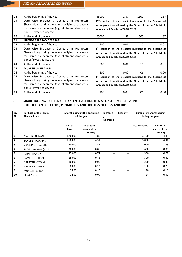| 18 | At the beginning of the year                                                                                                                                                           | 65000                                                                                                                                                | 1.87                                                                                                                                                 | 1300 | 1.87 |  |
|----|----------------------------------------------------------------------------------------------------------------------------------------------------------------------------------------|------------------------------------------------------------------------------------------------------------------------------------------------------|------------------------------------------------------------------------------------------------------------------------------------------------------|------|------|--|
| 19 | Date wise Increase / Decrease in Promoters<br>Shareholding during the year specifying the reasons<br>for increase / decrease (e.g. allotment /transfer /<br>bonus/ sweat equity etc.): | (*Reduction of share capital pursuant to the Scheme of<br>Arrangement sanctioned by the Order of the Hon'ble NCLT,<br>Ahmadabad Bench on 22.10.2018) |                                                                                                                                                      |      |      |  |
| 20 | At the end of the year                                                                                                                                                                 | 65000                                                                                                                                                | 1.87                                                                                                                                                 | 1300 | 1.87 |  |
| 21 | <b>UPENDRAPRASAD DERASARI</b>                                                                                                                                                          |                                                                                                                                                      |                                                                                                                                                      |      |      |  |
| 22 | At the beginning of the year                                                                                                                                                           | 500                                                                                                                                                  | 0.01                                                                                                                                                 | 10   | 0.01 |  |
| 23 | Date wise Increase / Decrease in Promoters<br>Shareholding during the year specifying the reasons<br>for increase / decrease (e.g. allotment /transfer /<br>bonus/ sweat equity etc.): |                                                                                                                                                      | (*Reduction of share capital pursuant to the Scheme of<br>Arrangement sanctioned by the Order of the Hon'ble NCLT,<br>Ahmadabad Bench on 22.10.2018) |      |      |  |
| 24 | At the end of the year                                                                                                                                                                 | 500                                                                                                                                                  | 0.01                                                                                                                                                 | 10   | 0.01 |  |
| 25 | <b>MUKESH U DERASARI</b>                                                                                                                                                               |                                                                                                                                                      |                                                                                                                                                      |      |      |  |
| 26 | At the beginning of the year                                                                                                                                                           | 300                                                                                                                                                  | 0.00                                                                                                                                                 | 06   | 0.00 |  |
| 27 | Date wise Increase / Decrease in Promoters<br>Shareholding during the year specifying the reasons                                                                                      | (*Reduction of share capital pursuant to the Scheme of<br>Arrangement sanctioned by the Order of the Hon'ble NCLT,<br>Ahmadabad Bench on 22.10.2018) |                                                                                                                                                      |      |      |  |
|    | for increase / decrease (e.g. allotment /transfer /<br>bonus/ sweat equity etc.):                                                                                                      |                                                                                                                                                      |                                                                                                                                                      |      |      |  |

## **D) SHAREHOLDING PATTERN OF TOP TEN SHAREHOLDERS AS ON 31ST MARCH, 2019: (OTHER THAN DIRECTORS, PROMOTERS AND HOLDERS OF GDRS AND DRS):**

| Sr.<br>No.              | For Each of the Top 10<br><b>Shareholders</b> |                  | Shareholding at the beginning<br>of the year | Increase<br><b>Decrease</b> | Reason* |               | <b>Cumulative Shareholding</b><br>during the year |
|-------------------------|-----------------------------------------------|------------------|----------------------------------------------|-----------------------------|---------|---------------|---------------------------------------------------|
|                         |                                               | No. of<br>shares | % of total<br>shares of the<br>company       |                             |         | No. of shares | % of total<br>shares of the<br>company            |
| $\mathbf{1}$            | MANUBHAI JIYANI                               | 1,70,000         | 4.88                                         | $-$                         | $-$     | 3,400         | 4.88                                              |
| $\overline{2}$          | SANDEEP MAHADIK                               | 1,50,000         | 4.31                                         | --                          | $-$     | 3,000         | 4.31                                              |
| $\overline{\mathbf{3}}$ | <b>VIJAYSINGH PADODE</b>                      | 50,000           | 1.43                                         |                             |         | 1,000         | 1.43                                              |
| 4                       | PRAFUL GANDHI (HUF)                           | 30,000           | 0.86                                         | --                          | $- -$   | 600           | 0.86                                              |
| 5                       | RAJNI KHANEJA                                 | 25,000           | 0.72                                         | --                          | --      | 500           | 0.72                                              |
| 6                       | <b>KAMLESH J SHROFF</b>                       | 15,000           | 0.43                                         | --                          | $- -$   | 300           | 0.43                                              |
| $\overline{ }$          | NARAYAN VSWANI                                | 10,000           | 0.06                                         | --                          | $- -$   | 200           | 0.30                                              |
| 8                       | <b>VARSHA R PARIKH</b>                        | 8,000            | 0.23                                         | --                          | $- -$   | 160           | 0.23                                              |
| 9                       | <b>MUKESH T SHROFF</b>                        | 35,00            | 0.10                                         | --                          | $- -$   | 70            | 0.10                                              |
| 10                      | <b>FELIX PINTO</b>                            | 32,00            | 0.09                                         | $- -$                       | --      | 64            | 0.09                                              |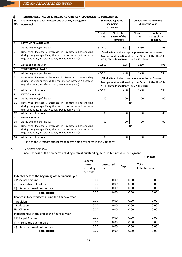## **E) SHAREHOLDING OF DIRECTORS AND KEY MANAGERIAL PERSONNEL:**

| Sr.<br>No.              | Shareholding of each Directors and each Key Managerial<br>Personnel                                                                                                                 |                                                                                                                                                                 | Shareholding at the<br>beginning<br>of the year        |                  | <b>Cumulative Shareholding</b><br>during the year |  |
|-------------------------|-------------------------------------------------------------------------------------------------------------------------------------------------------------------------------------|-----------------------------------------------------------------------------------------------------------------------------------------------------------------|--------------------------------------------------------|------------------|---------------------------------------------------|--|
|                         |                                                                                                                                                                                     | No. of<br>shares                                                                                                                                                | % of total<br>shares of the<br>company                 | No. of<br>shares | % of total<br>shares of the<br>company            |  |
| 1                       | <b>MAYANK DEVASHRAYEE</b>                                                                                                                                                           |                                                                                                                                                                 |                                                        |                  |                                                   |  |
| 2                       | At the beginning of the year                                                                                                                                                        | 312500                                                                                                                                                          | 8.98                                                   | 6250             | 8.98                                              |  |
| $\overline{\mathbf{3}}$ | Date wise Increase / Decrease in Promoters Shareholding<br>during the year specifying the reasons for increase / decrease<br>(e.g. allotment /transfer / bonus/ sweat equity etc.): | <sup>*</sup> Reduction of share capital pursuant to the Scheme of<br>Arrangement sanctioned by the Order of the Hon'ble<br>NCLT, Ahmadabad Bench on 22.10.2018) |                                                        |                  |                                                   |  |
| 4                       | At the end of the year                                                                                                                                                              | 312500                                                                                                                                                          | 8.98                                                   | 6250             | 8.98                                              |  |
| 5                       | <b>TRUPTI DEVASHRAYEE</b>                                                                                                                                                           |                                                                                                                                                                 |                                                        |                  |                                                   |  |
| 6                       | At the beginning of the year                                                                                                                                                        | 277500                                                                                                                                                          | 7.98                                                   | 5550             | 7.98                                              |  |
| $\overline{7}$          | Date wise Increase / Decrease in Promoters Shareholding                                                                                                                             |                                                                                                                                                                 | (*Reduction of share capital pursuant to the Scheme of |                  |                                                   |  |
|                         | during the year specifying the reasons for increase / decrease<br>(e.g. allotment /transfer / bonus/ sweat equity etc.):                                                            |                                                                                                                                                                 | Arrangement sanctioned by the Order of the Hon'ble     |                  |                                                   |  |
|                         |                                                                                                                                                                                     |                                                                                                                                                                 | NCLT, Ahmadabad Bench on 22.10.2018)                   |                  |                                                   |  |
| 8                       | At the end of the year                                                                                                                                                              | 277500                                                                                                                                                          | 7.98                                                   | 5550             | 7.98                                              |  |
| 9                       | <b>KEYOOR BAKSHI</b>                                                                                                                                                                |                                                                                                                                                                 |                                                        |                  |                                                   |  |
| 10                      | At the beginning of the year                                                                                                                                                        | 00                                                                                                                                                              | 00                                                     | 00               | 00                                                |  |
| 11                      | Date wise Increase / Decrease in Promoters Shareholding<br>during the year specifying the reasons for increase / decrease<br>(e.g. allotment /transfer / bonus/ sweat equity etc.): |                                                                                                                                                                 |                                                        | <b>NA</b>        |                                                   |  |
| 12                      | At the end of the year                                                                                                                                                              | 00                                                                                                                                                              | 00                                                     | 00               | 00                                                |  |
| 13                      | <b>BHAVIN MEHTA</b>                                                                                                                                                                 |                                                                                                                                                                 |                                                        |                  |                                                   |  |
| 14                      | At the beginning of the year                                                                                                                                                        | 00                                                                                                                                                              | 00                                                     | 00               | 00                                                |  |
| 15                      | Date wise Increase / Decrease in Promoters Shareholding<br>during the year specifying the reasons for increase / decrease<br>(e.g. allotment /transfer / bonus/ sweat equity etc.): | <b>NA</b>                                                                                                                                                       |                                                        |                  |                                                   |  |
| 16                      | At the end of the year                                                                                                                                                              | 00                                                                                                                                                              | 00                                                     | 00               | 00                                                |  |

None of the Directors expect from above hold any shares in the Company.

## **VI. INDEBTEDNESS –**

Indebtedness of the Company including interest outstanding/accrued but not due for payment.

|                                                     |                                           |                    |          | (` in Lacs)           |
|-----------------------------------------------------|-------------------------------------------|--------------------|----------|-----------------------|
|                                                     | Secured<br>Loans<br>excluding<br>deposits | Unsecured<br>Loans | Deposits | Total<br>Indebtedness |
| Indebtedness at the beginning of the financial year |                                           |                    |          |                       |
| i) Principal Amount                                 | 0.00                                      | 0.00               | 0.00     | 0.00                  |
| ii) Interest due but not paid                       | 0.00                                      | 0.00               | 0.00     | 0.00                  |
| iii) Interest accrued but not due                   | 0.00                                      | 0.00               | 0.00     | 0.00                  |
| Total (i+ii+iii)                                    | 0.00                                      | 0.00               | 0.00     | 0.00                  |
| Change in Indebtedness during the financial year    |                                           |                    |          |                       |
| * Addition                                          | 0.00                                      | 0.00               | 0.00     | 0.00                  |
| * Reduction                                         | 0.00                                      | 0.00               | 0.00     | 0.00                  |
| <b>Net Change</b>                                   | 0.00                                      | 0.00               | 0.00     | 0.00                  |
| Indebtedness at the end of the financial year       |                                           |                    |          |                       |
| i) Principal Amount                                 | 0.00                                      | 0.00               | 0.00     | 0.00                  |
| ii) Interest due but not paid                       | 0.00                                      | 0.00               | 0.00     | 0.00                  |
| iii) Interest accrued but not due                   | 0.00                                      | 0.00               | 0.00     | 0.00                  |
| Total (i+ii+iii)                                    | 0.00                                      | 0.00               | 0.00     | 0.00                  |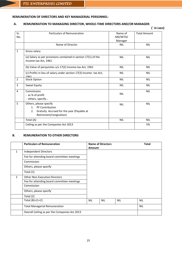1961

## **REMUNERATION OF DIRECTORS AND KEY MANAGERIAL PERSONNEL-**

## **A. REMUNERATION TO MANAGING DIRECTOR, WHOLE-TIME DIRECTORS AND/OR MANAGER:**

|              |                                                                                        |                               | (`in Lacs)          |
|--------------|----------------------------------------------------------------------------------------|-------------------------------|---------------------|
| Sr.<br>No.   | Particulars of Remuneration                                                            | Name of<br>MD/WTD/<br>Manager | <b>Total Amount</b> |
|              | Name of Director                                                                       | <b>NIL</b>                    | <b>NIL</b>          |
| $\mathbf{1}$ | Gross salary                                                                           |                               |                     |
|              | (a) Salary as per provisions contained in section 17(1) of the<br>Income-tax Act, 1961 | <b>NIL</b>                    | <b>NIL</b>          |
|              | (b) Value of perquisites u/s 17(2) Income-tax Act, 1961                                | <b>NIL</b>                    | <b>NIL</b>          |
|              | (c) Profits in lieu of salary under section 17(3) Income- tax Act,                     | <b>NIL</b>                    | <b>NIL</b>          |

| 3 | Sweat Equity                                                                                                                              | <b>NIL</b> | <b>NIL</b> |
|---|-------------------------------------------------------------------------------------------------------------------------------------------|------------|------------|
| 4 | Commission<br>- as % of profit<br>- others, specify                                                                                       | <b>NIL</b> | <b>NIL</b> |
| 5 | Others, please specify<br><b>PF Contribution</b><br>$1_{-}$<br>Gratuity Accrued for the year (Payable at<br>2.<br>Retirement/resignation) | <b>NIL</b> | <b>NIL</b> |
|   | Total (A)                                                                                                                                 | <b>NIL</b> | <b>NIL</b> |
|   | Ceiling as per the Companies Act 2013                                                                                                     |            | 5%         |

2 Stock Option NIL NIL

## **B. REMUNERATION TO OTHER DIRECTORS**

|                | <b>Particulars of Remuneration</b>            |               | <b>Name of Directors</b> |            | <b>Total</b> |
|----------------|-----------------------------------------------|---------------|--------------------------|------------|--------------|
|                |                                               | <b>Amount</b> |                          |            |              |
| 1              | Independent Directors                         |               |                          |            |              |
|                | Fee for attending board committee meetings    |               |                          |            |              |
|                | Commission                                    |               |                          |            |              |
|                | Others, please specify                        |               |                          |            |              |
|                | Total (1)                                     |               |                          |            |              |
| $\mathfrak{p}$ | <b>Other Non-Executive Directors</b>          |               |                          |            |              |
|                | Fee for attending board committee meetings    |               |                          |            |              |
|                | Commission                                    |               |                          |            |              |
|                | Others, please specify                        |               |                          |            |              |
|                | Total (2)                                     |               |                          |            |              |
|                | Total $(B)=(1+2)$                             | <b>NIL</b>    | <b>NIL</b>               | <b>NIL</b> | <b>NIL</b>   |
|                | <b>Total Managerial Remuneration</b>          |               |                          |            | <b>NIL</b>   |
|                | Overall Ceiling as per the Companies Act 2013 |               |                          |            |              |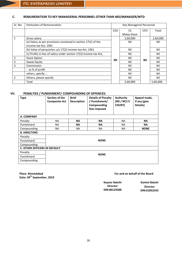## **C. REMUNERATION TO KEY MANAGERIAL PERSONNEL OTHER THAN MD/MANAGER/WTD**

| Sr. No.        | <b>Particulars of Remuneration</b>                                                     |            | Key Managerial Personnel |            |          |
|----------------|----------------------------------------------------------------------------------------|------------|--------------------------|------------|----------|
|                |                                                                                        | <b>CEO</b> | CS                       | <b>CFO</b> | Total    |
|                |                                                                                        |            | Malay Desai              |            |          |
| 1              | Gross salary                                                                           |            | 2,60,000                 |            | 2,60,000 |
|                | (a) Salary as per provisions contained in section 17(1) of the<br>Income-tax Act, 1961 |            | Nil                      |            | Nil      |
|                | (b) Value of perquisites u/s 17(2) Income-tax Act, 1961                                |            | Nil                      |            | Nil      |
|                | (c) Profits in lieu of salary under section 17(3) Income-tax Act,                      |            | Nil                      |            | Nil      |
| $\overline{2}$ | <b>Stock Option</b>                                                                    | Nil        | Nil                      | Nil        | Nil      |
| 3              | Sweat Equity                                                                           |            | Nil                      |            | Nil      |
| 4              | Commission                                                                             |            | Nil                      |            | Nil      |
|                | - as % of profit                                                                       |            | Nil                      |            | Nil      |
|                | others, specify                                                                        |            | Nil                      |            | Nil      |
| 5              | Others, please specify                                                                 |            | Nil                      |            | Nil      |
|                | Total                                                                                  |            | 2,60,000                 |            | 2,60,000 |

## **VII. PENALTIES / PUNISHMENT/ COMPOUNDING OF OFFENCES:**

| <b>Type</b>                         | Section of the<br><b>Companies Act</b> | <b>Brief</b><br><b>Description</b> | <b>Details of Penalty</b><br>/ Punishment/<br>Compounding<br>fees imposed | <b>Authority</b><br>[RD / NCLT/<br><b>COURT]</b> | Appeal made,<br>if any (give<br>Details) |  |  |
|-------------------------------------|----------------------------------------|------------------------------------|---------------------------------------------------------------------------|--------------------------------------------------|------------------------------------------|--|--|
| A. COMPANY                          |                                        |                                    |                                                                           |                                                  |                                          |  |  |
| Penalty                             | <b>NA</b>                              | <b>NA</b>                          | <b>NA</b>                                                                 | NA.                                              | <b>NA</b>                                |  |  |
| Punishment                          | <b>NA</b>                              | <b>NA</b>                          | <b>NA</b>                                                                 | <b>NA</b>                                        | <b>NA</b>                                |  |  |
| Compounding                         | <b>NA</b>                              | <b>NA</b>                          | <b>NA</b>                                                                 | <b>NA</b>                                        | <b>NONE</b>                              |  |  |
| <b>B. DIRECTORS</b>                 |                                        |                                    |                                                                           |                                                  |                                          |  |  |
| Penalty                             |                                        |                                    |                                                                           |                                                  |                                          |  |  |
| Punishment                          |                                        |                                    | <b>NONE</b>                                                               |                                                  |                                          |  |  |
| Compounding                         |                                        |                                    |                                                                           |                                                  |                                          |  |  |
| <b>C. OTHER OFFICERS IN DEFAULT</b> |                                        |                                    |                                                                           |                                                  |                                          |  |  |
| Penalty<br><b>NONE</b>              |                                        |                                    |                                                                           |                                                  |                                          |  |  |
| Punishment                          |                                        |                                    |                                                                           |                                                  |                                          |  |  |
| Compounding                         |                                        |                                    |                                                                           |                                                  |                                          |  |  |

**Place: Ahmedabad Date: 04th September, 2019**

## **For and on behalf of the Board For and on behalf of the Board**

**Keyoor Bakshi Director DIN:00133588**

**Kamini Bakshi Director DIN:01852243**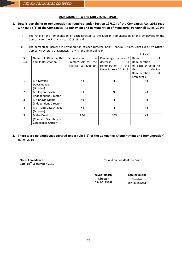## **ANNEXURE-III TO THE DIRECTORS REPORT**

## **1. Details pertaining to remuneration as required under Section 197(12) of the Companies Act, 2013 read with Rule 5(1) of the Companies (Appointment and Remuneration of Managerial Personnel) Rules, 2014:**

- i. The ratio of the remuneration of each Director to the Median Remuneration of the Employees of the Company for the Financial Year 2018-19 and
- ii. The percentage increase in remuneration of each Director, Chief Financial Officer, Chief Executive Officer, Company Secretary or Manager, if any, in the Financial Year

|                |                        |                        |                        | (` In Lacs)         |
|----------------|------------------------|------------------------|------------------------|---------------------|
| Sr.            | Name of Director/KMP   | Remuneration to the    | Percentage increase /  | of<br>Ratio         |
| No.            | and its Designation    | Director/KMP for the   | decrease<br>in         | Remuneration        |
|                |                        | Financial Year 2018-19 | remuneration in the    | of each Director to |
|                |                        |                        | Financial Year 2018-19 | Median<br>the       |
|                |                        |                        |                        | Remuneration<br>οf  |
|                |                        |                        |                        | <b>Employees</b>    |
| $\mathbf{1}$   | Mr. Mayank             | Nil                    | Nil                    | Nil                 |
|                | Devashrayee            |                        |                        |                     |
|                | (Director)             |                        |                        |                     |
| $\overline{2}$ | Mr. Keyoor Bakshi      | Nil                    | Nil                    | Nil                 |
|                | (Independent Director) |                        |                        |                     |
| 3              | Mr. Bhavin Mehta       | Nil                    | Nil                    | Nil                 |
|                | (Independent Director) |                        |                        |                     |
| $\overline{4}$ | Ms. Trupti Devashrayee | Nil                    | Nil                    | Nil                 |
|                | (Director)             |                        |                        |                     |
| 5              | Malay Desai            | 2.60                   | 10%                    | Nil                 |
|                | (Company Secretary &   |                        |                        |                     |
|                | Compliance Officer)    |                        |                        |                     |

**2. There were no employees covered under rule 5(2) of the Companies (Appointment and Remuneration) Rules, 2014**

**Place: Ahmedabad Date: 04th September, 2019** **For and on behalf of the Board For and on behalf of the Board**

**Keyoor Bakshi Director DIN:00133588**

**Kamini Bakshi Director DIN:01852243**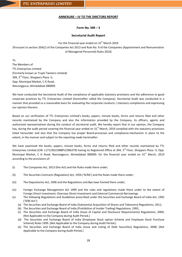## **ANNEXURE – IV TO THE DIRCTORS REPORT**

## **Form No. MR – 3**

## **Secretarial Audit Report**

For the Financial year ended on  $31<sup>st</sup>$  March 2019 [Pursuant to section 204(1) of the Companies Act 2013 and Rule No. 9 of the Companies (Appointment and Remuneration of Managerial Personnel) Rules 2014]

To The Members of TTL Enterprises Limited (Formerly known as Trupti Twisters Limited) 304, 3rd Floor, Shoppers Plaza -5, Opp. Municipal Market, C G Road, Navrangpura, Ahmedabad 380009.

We have conducted the Secretarial Audit of the compliance of applicable statutory provisions and the adherence to good corporate practices by TTL Enterprises Limited (hereinafter called the Company). Secretarial Audit was conducted in a manner that provided us a reasonable basis for evaluating the corporate conducts / statutory compliances and expressing our opinion thereon.

Based on our verification of TTL Enterprises Limited's books, papers, minute books, forms and returns filed and other records maintained by the Company and also the information provided by the Company, its officers, agents and authorized representatives during the conduct of secretarial audit, We hereby report that in our opinion, the Company has, during the audit period covering the financial year ended on  $31<sup>st</sup>$  March, 2019 complied with the statutory provisions listed hereunder and also that the Company has proper Board-processes and compliance-mechanism in place to the extent, in the manner and subject to the reporting made hereinafter:

We have examined the books, papers, minute books, forms and returns filed and other records maintained by TTL Enterprises Limited (CIN: L17119GJ1988PLC096379) having its Registered Office at 304, 3<sup>rd</sup> Floor, Shoppers Plaza -5, Opp. Municipal Market, C G Road, Navrangpura, Ahmedabad 380009. for the financial year ended on 31<sup>st</sup> March, 2019 according to the provisions of:

- (i) The Companies Act, 2013 (the Act) and the Rules made there under;
- (ii) The Securities Contracts (Regulation) Act, 1956 ('SCRA') and the Rules made there under;
- (iii) The Depositories Act, 1996 and the Regulations and Bye-laws framed there under;
- (iv) Foreign Exchange Management Act 1999 and the rules and regulations made there under to the extent of Foreign Direct Investment, Overseas Direct Investment and External Commercial Borrowings.
- (v) The following Regulations and Guidelines prescribed under the Securities and Exchange Board of India Act, 1992 ('SEBI Act'):
	- (a) The Securities and Exchange Board of India (Substantial Acquisition of Shares and Takeovers) Regulations, 2011;
	- (b) The Securities and Exchange Board of India (Prohibition of Insider Trading) Regulations, 1992;
	- (c) The Securities and Exchange Board of India (Issue of Capital and Disclosure Requirements) Regulations, 2009; (Not Applicable to the Company during Audit Period.)
	- (d) The Securities and Exchange Board of India (Employee Stock option Scheme and Employee Stock Purchase Scheme) Rules 1999. (Not Applicable to the Company during Audit Period.)
	- (e) The Securities and Exchange Board of India (Issue and Listing of Debt Securities) Regulations, 2008; (Not Applicable to the Company during Audit Period.)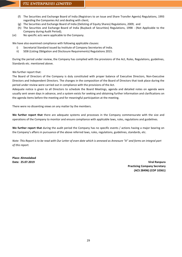- (f) The Securities and Exchange Board of India (Registrars to an Issue and Share Transfer Agents) Regulations, 1993 regarding the Companies Act and dealing with client;
- (g) The Securities and Exchange Board of India (Delisting of Equity Shares) Regulations, 2009; and
- (h) The Securities and Exchange Board of India (Buyback of Securities) Regulations, 1998 (Not Applicable to the Company during Audit Period);
- (vi) No specific acts were applicable to the Company.

We have also examined compliance with following applicable clauses:

- i) Secretarial Standard issued by Institute of Company Secretaries of India.
- ii) SEBI (Listing Obligation and Disclosure Requirements) Regulations 2015.

During the period under review, the Company has complied with the provisions of the Act, Rules, Regulations, guidelines, Standards etc. mentioned above.

We further report that:

The Board of Directors of the Company is duly constituted with proper balance of Executive Directors, Non-Executive Directors and Independent Directors. The changes in the composition of the Board of Directors that took place during the period under review were carried out in compliance with the provisions of the Act.

Adequate notice is given to all Directors to schedule the Board Meetings, agenda and detailed notes on agenda were usually sent seven days in advance, and a system exists for seeking and obtaining further information and clarifications on the agenda items before the meeting and for meaningful participation at the meeting.

There were no dissenting views on any matter by the members.

**We further report that** there are adequate systems and processes in the Company commensurate with the size and operations of the Company to monitor and ensure compliance with applicable laws, rules, regulations and guidelines.

**We further report that** during the audit period the Company has no specific events / actions having a major bearing on the Company's affairs in pursuance of the above referred laws, rules, regulations, guidelines, standards, etc.

*Note: This Report is to be read with Our Letter of even date which is annexed as Annexure "A" and forms an integral part of this report.*

**Place: Ahmedabad**

**Date: 25.07.2019 Viral Ranpura Practicing Company Secretary (ACS 28496) (COP 10361)**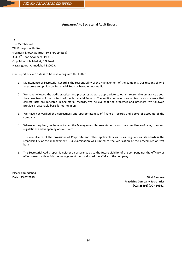## **Annexure A to Secretarial Audit Report**

To

The Members of TTL Enterprises Limited (Formerly known as Trupti Twisters Limited) 304, 3rd Floor, Shoppers Plaza -5, Opp. Municiple Market, C G Road, Navrangpura, Ahmedabad 380009.

Our Report of even date is to be read along with this Letter;

- 1. Maintenance of Secretarial Record is the responsibility of the management of the company. Our responsibility is to express an opinion on Secretarial Records based on our Audit.
- 2. We have followed the audit practices and processes as were appropriate to obtain reasonable assurance about the correctness of the contents of the Secretarial Records. The verification was done on test basis to ensure that correct facts are reflected in Secretarial records. We believe that the processes and practices, we followed provide a reasonable basis for our opinion.
- 3. We have not verified the correctness and appropriateness of financial records and books of accounts of the company.
- 4. Wherever required, we have obtained the Management Representation about the compliance of laws, rules and regulations and happening of events etc.
- 5. The compliance of the provisions of Corporate and other applicable laws, rules, regulations, standards is the responsibility of the management. Our examination was limited to the verification of the procedures on test basis.
- 6. The Secretarial Audit report is neither an assurance as to the future viability of the company nor the efficacy or effectiveness with which the management has conducted the affairs of the company.

**Place: Ahmedabad**

**Date: 25.07.2019 Viral Ranpura Practicing Company Secretaries (ACS 28496) (COP 10361)**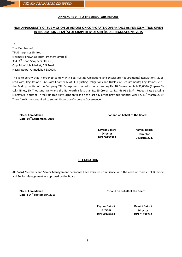## **ANNEXURE V – TO THE DIRECTORS REPORT**

## **NON APPLICABILITY OF SUBMISSION OF REPORT ON CORPORATE GOVERNANCE AS PER EXEMPTION GIVEN IN REGULATION 15 (2) (A) OF CHAPTER IV OF SEBI (LODR) REGULATIONS, 2015**

To The Members of TTL Enterprises Limited (Formerly known as Trupti Twisters Limited) 304, 3rd Floor, Shoppers Plaza -5, Opp. Municiple Market, C G Road, Navrangpura, Ahmedabad 380009.

This is to certify that in order to comply with SEBI (Listing Obligations and Disclosure Requirements) Regulations, 2015, read with, Regulation 15 (2) (a)of Chapter IV of SEBI (Listing Obligations and Disclosure Requirements) Regulations, 2015 the Paid up capital of the Company TTL Enterprises Limited is not exceeding Rs. 10 Crores i.e. Rs.6,96,000/- (Rupees Six Lakh Ninety Six Thousand Only) and the Net worth is less than Rs. 25 Crores i.e. Rs. (66,96,368)/- (Rupees Sixty Six Lakhs Ninety Six Thousand Three Hundred Sixty Eight only) as on the last day of the previous financial year i.e.  $31<sup>st</sup>$  March, 2019. Therefore it is not required to submit Report on Corporate Governance.

**Place: Ahmedabad** Date: 04<sup>th</sup> September, 2019 **For and on behalf of the Board**

**Keyoor Bakshi Director DIN:00133588**

**Kamini Bakshi Director DIN:01852243**

## **DECLARATION**

All Board Members and Senior Management personnel have affirmed compliance with the code of conduct of Directors and Senior Management as approved by the Board.

**Place: Ahmedabad** Date: : 04<sup>th</sup> September, 2019 **For and on behalf of the Board**

**Keyoor Bakshi Director DIN:00133588**

**Kamini Bakshi Director DIN:01852243**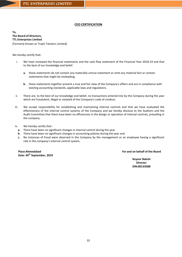## **CEO CERTIFICATION**

**To, The Board of Directors, TTL Enterprises Limited** (Formerly known as Trupti Twisters Limited)

We hereby certify that:

- i. We have reviewed the financial statements and the cash flow statement of the Financial Year 2018-19 and that to the best of our knowledge and belief.
	- **a.** these statements do not contain any materially untrue statement or omit any material fact or contain statements that might be misleading;
	- **b.** these statements together present a true and fair view of the Company's affairs and are in compliance with existing accounting standards, applicable laws and regulations.
- ii. There are, to the best of our knowledge and belief, no transactions entered into by the Company during the year which are fraudulent, illegal or violated of the Company's code of conduct.
- iii. We accept responsibility for establishing and maintaining internal controls and that we have evaluated the effectiveness of the internal control systems of the Company and we hereby disclose to the Auditors and the Audit Committee that there have been no efficiencies in the design or operation of internal controls, prevailing in the company.
- iv. We hereby certify that :
	- **a.** There have been no significant changes in internal control during the year.
	- **b.** There have been no significant changes in accounting policies during the year and
	- **c.** No instances of fraud were observed in the Company by the management or an employee having a significant role in the company's internal control system.

**Place:Ahmedabad Date: 04th September, 2019** **For and on behalf of the Board**

**Keyoor Bakshi Director DIN:00133588**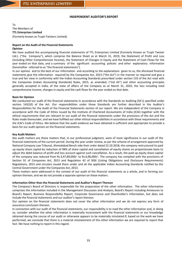#### **INDEPENDENT AUDITOR'S REPORT**

To The Members of **TTL Enterprises Limited**

(Formerly known as Trupti Twisters Limited)

# **Report on the Audit of the Financial Statements**

## **Opinion**

We have audited the accompanying financial statements of TTL Enterprises Limited (Formerly Known as Trupti Twister Ltd.). ("the Company"), which comprise the Balance Sheet as at March 31, 2019, the Statement of Profit and Loss (including Other Comprehensive Income), the Statement of Changes in Equity and the Statement of Cash Flows for the year ended on that date, and a summary of the significant accounting policies and other explanatory information (hereinafter referred to as "the financial statements").

In our opinion and to the best of our information and according to the explanations given to us, the aforesaid financial statements give the information required by the Companies Act, 2013 ("the Act") in the manner so required and give a true and fair view in conformity with the Indian Accounting Standards prescribed under section 133 of the Act read with the Companies (Indian Accounting Standards) Rules, 2015, as amended, ("Ind AS") and other accounting principles generally accepted in India, of the state of affairs of the Company as at March 31, 2019, the loss including total comprehensive income, changes in equity and the cash flows for the year ended on that date.

#### **Basis for Opinion**

We conducted our audit of the financial statements in accordance with the Standards on Auditing (SA's) specified under section 143(10) of the Act. Our responsibilities under those Standards are further described in the Auditor's Responsibilities for the Audit of the Financial Statements section of our report. We are independent of the Company in accordance with the Code of Ethics issued by the Institute of Chartered Accountants of India (ICAI) together with the ethical requirements that are relevant to our audit of the financial statements under the provisions of the Act and the Rules made thereunder, and we have fulfilled our other ethical responsibilities in accordance with these requirements and the ICAI's Code of Ethics. We believe that the audit evidence we have obtained is sufficient and appropriate to provide a basis for our audit opinion on the financial statements.

#### **Key Audit Matters**

Key audit matters are those matters that, in our professional judgment, were of most significance in our audit of the financial statements of the current period. During the year under review, as per the scheme of arrangement approved by National Company Law Tribunal, Ahmedabad Bench vide their order dated 22.10.2018, the company restructured its paid up equity share capital by reduction of 98% of share capital and cancellation of equity shares on proportionate basis to adjust the debit balance of profit and loss account against such cancellation. As a result, the paid up equity share capital of the company was reduced from Rs.3,47,89,000/- to Rs.6,96,000/-. The company has complied with the provisions of Section 91 of Companies Act, 2013 and Regulation 42 of SEBI (Listing Obligations and Disclosure Requirements) Regulations, 2015 and circulars issued there under and all the applicable Indian Accounting Standards notified by the Central Government under the Companies Act, 2013.

These matters were addressed in the context of our audit of the financial statements as a whole, and in forming our opinion thereon, and we do not provide a separate opinion on these matters.

#### **Information Other than the Financial Statements and Auditor's Report Thereon**

The Company's Board of Directors is responsible for the preparation of the other information. The other information comprises the information included in the Management Discussion and Analysis, Board's Report including Annexures to Board's Report, Business Responsibility Report, Corporate Governance and Shareholder's Information, but does not include the financial statements and our auditor's report thereon.

Our opinion on the financial statements does not cover the other information and we do not express any form of assurance conclusion thereon.

In connection with our audit of the financial statements, our responsibility is to read the other information and, in doing so, consider whether the other information is materially inconsistent with the financial statements or our knowledge obtained during the course of our audit or otherwise appears to be materially misstated.If, based on the work we have performed, we conclude that there is a material misstatement of this other information we are required to report that fact. We have nothing to report in this regard.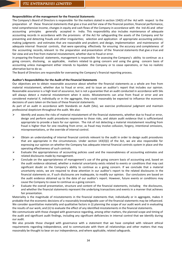#### **Responsibilities of the management for the Financial Statements**

The Company's Board of Directors is responsible for the matters stated in section 134(5) of the Act with respect to the preparation of these financial statements that give a true and fair view of the financial position, financial performance, total comprehensive income, changes in equity and cash flows of the Company in accordance with the Ind-AS and other accounting principles generally accepted in India. This responsibility also includes maintenance of adequate accounting records in accordance with the provisions of the Act for safeguarding the assets of the Company and for preventing and detecting frauds and other irregularities; selection and application of appropriate accounting policies; making judgments and estimates that are reasonable and prudent; and design, implementation and maintenance of adequate internal financial controls, that were operating effectively for ensuring the accuracy and completeness of the accounting records, relevant to the preparation and presentation of the financial statements that give a true and fair view and are free from material misstatement, whether due to fraud or error.

In preparing the financial statements, management is responsible for assessing the Company's ability to continue as a going concern, disclosing, as applicable, matters related to going concern and using the going concern basis of accounting unless management either intends to liquidate the Company or to cease operations, or has no realistic alternative but to do so.

The Board of Directors are responsible for overseeing the Company's financial reporting process.

#### **Auditor's Responsibilities for the Audit of the Financial Statements**

Our objectives are to obtain reasonable assurance about whether the financial statements as a whole are free from material misstatement, whether due to fraud or error, and to issue an auditor's report that includes our opinion. Reasonable assurance is a high level of assurance, but is not a guarantee that an audit conducted in accordance with SAs will always detect a material misstatement when it exists. Misstatements can arise from fraud or error and are considered material if, individually or in the aggregate, they could reasonably be expected to influence the economic decisions of users taken on the basis of these financial statements.

As part of an audit in accordance with Standards on Audit (SAs), we exercise professional judgment and maintain professional skepticism throughout the audit. We also:

- $\triangleright$  Identify and assess the risks of material misstatement of the financial statements, whether due to fraud or error, design and perform audit procedures responsive to those risks, and obtain audit evidence that is sufficientand appropriate to provide a basis for our opinion. The risk of not detecting a material misstatement resulting from fraud is higher than for one resulting from error, as fraud may involve collusion, forgery, intentional omissions, misrepresentations, or the override of internal control.
- $\triangleright$  Obtain an understanding of internal financial controls relevant to the audit in order to design audit procedures that are appropriate in the circumstances. Under section 143(3)(i) of the Act, we are also responsible for expressing our opinion on whether the Company has adequate internal financial controls system in place and the operating effectiveness of such controls.
- $\triangleright$  Evaluate the appropriateness of accounting policies used and the reasonableness of accounting estimates and related disclosures made by management.
- $\triangleright$  Conclude on the appropriateness of management's use of the going concern basis of accounting and, based on the audit evidence obtained, whether a material uncertainty exists related to events or conditions that may cast significant doubt on the Company's ability to continue as a going concern. If we conclude that a material uncertainty exists, we are required to draw attention in our auditor's report to the related disclosures in the financial statements or, if such disclosures are inadequate, to modify our opinion. Our conclusions are based on the audit evidence obtained up to the date of our auditor's report. However, future events or conditions may cause the Company to cease to continue as a going concern.
- $\triangleright$  Evaluate the overall presentation, structure and content of the financial statements, including the disclosures, and whether the financial statements represent the underlying transactions and events in a manner that achieves fair presentation.

Materiality is the magnitude of misstatements in the financial statements that, individually or in aggregate, makes it probable that the economic decisions of a reasonably knowledgeable user of the financial statements may be influenced. We consider quantitative materiality and qualitative factors in (i) planning the scope of our audit work and in evaluating the results of our work; and (ii) to evaluate the effect of any identified misstatements in the financial statements.

We communicate with those charged with governance regarding, among other matters, the planned scope and timing of the audit and significant audit findings, including any significant deficiencies in internal control that we identify during our audit.

We also provide those charged with governance with a statement that we have complied with relevant ethical requirements regarding independence, and to communicate with them all relationships and other matters that may reasonably be thought to bear on our independence, and where applicable, related safeguards.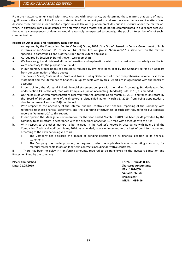From the matters communicated with those charged with governance, we determine those matters that were of most significance in the audit of the financial statements of the current period and are therefore the key audit matters. We describe these matters in our auditor's report unless law or regulation precludes public disclosure about the matter or when, in extremely rare circumstances, we determine that a matter should not be communicated in our report because the adverse consequences of doing so would reasonably be expected to outweigh the public interest benefits of such communication.

#### **Report on Other Legal and Regulatory Requirements**

- 1. As required by the Companies (Auditors' Report) Order, 2016 ("the Order") issued by Central Government of India in terms of sub-Section (11) of section 143 of the Act, we give in "**Annexure-1**", a statement on the matters specified in paragraphs 3 and 4 of the Order, to the extent applicable.
- 2. As required by Section 143(3) of the Act, we report that:
- a. We have sought and obtained all the information and explanations which to the best of our knowledge and belief were necessary for the purpose of our audit;
- b. In our opinion, proper books of account as required by law have been kept by the Company so far as it appears from our examination of those books;
- c. The Balance Sheet, Statement of Profit and Loss including Statement of other comprehensive income, Cash Flow Statement and the Statement of Changes in Equity dealt with by this Report are in agreement with the books of account;
- d. In our opinion, the aforesaid Ind AS financial statement comply with the Indian Accounting Standards specified under section 133 of the Act, read with Companies (Indian Accounting Standards) Rules 2015, as amended;
- e. On the basis of written representations received from the directors as on March 31, 2019, and taken on record by the Board of Directors, none ofthe directors is disqualified as on March 31, 2019, from being appointedas a director in terms of section 164(2) of the Act.
- f. With respect to the adequacy of the internal financial controls over financial reporting of the Company with reference to these financial statements and the operating effectiveness of such controls, refer to our separate report in "**Annexure-2**" to this report.
- g. In our opinion the Managerial remuneration for the year ended March 31,2019 has been paid/ provided by the company to its directors in accordance with the provisions of Section 197 read with Schedule V to the Act.
- h. With respect to the other matters to be included in the Auditor's Report in accordance with Rule 11 of the Companies (Audit and Auditors) Rules, 2014, as amended, in our opinion and to the best of our information and according to the explanations given to us:
	- i. The Company has disclosed the impact of pending litigations on its financial position in its financial statements.
	- ii. The Company has made provision, as required under the applicable law or accounting standards, for material foreseeable losses on long-term contracts including derivative contracts.

iii. There has been no delay in transferring amounts, required to be transferred to the Investors Education and Protection Fund by the company

**Place: Ahmedabad For V. D. Shukla & Co. Date: 21.05.2019 Chartered Accountants FRN: 110240W Vimal D. Shukla (Proprietor) MRN: 036416**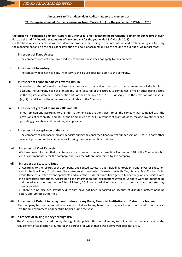#### **Annexure-1 to The Independent Auditors' Report to members of**

## **TTL Enterprises Limited (Formerly Known as Trupti Twister Ltd.) for the year ended 31st March 2019**

#### **(Referred to in Paragraph 1 under "Report on Other Legal and Regulatory Requirements" section of our report of even**  date on the Ind AS financial statements of the company for the year ended 31<sup>st</sup>March, 2019)

On the basis of such checks as we considered appropriate, according to the information and explanation given to us by the management and on the basis of examination of books of accounts during the course of our audit, we report that:

#### **i. In respect of Fixed Assets**

The company does not have any fixed assets so this clause does not apply to the company.

#### **ii. In respect of Inventory**

The company does not have any inventory so this clause does not apply to the company.

#### **iii. In respect of Loans to parties covered u/s 189**

According to the information and explanations given to us and on the basis of our examination of the books of account, the Company has not granted any loans, secured or unsecured, to companies, firms or other parties listed in the register maintained under Section 189 of the Companies Act, 2013. Consequently, the provisions of clauses iii (a), iii(b) and iii (c) of the order are not applicable to the Company.

#### **iv. In respect of grant of loans u/s 185 and 186**

In our opinion and according to the information and explanations given to us, the company has complied with the provisions of section 185 and 186 of the Companies Act, 2013 in respect of grant of loans, making investments and providing guarantees and securities, as applicable.

#### **v. In respect of acceptance of deposits**

The company has not accepted any deposits during the concerned financial year under section 73 to 76 or any other relevant provision of the companies act during the concerned financial year.

#### **vi. In respect of Cost Records**

We have been informed that maintenance of cost records under sub-section 1 of section 148 of the Companies Act, 2013 is not mandatory for the company and such records are maintained by the company.

#### **vii. In respect of Statutory Dues**

a) According to the records of the company, undisputed statutory dues including Provident Fund, Investor Education and Protection Fund, Employees' State Insurance, Income-tax, Sales-tax, Wealth Tax, Service Tax, Custom Duty, Excise Duty, cess to the extent applicable and any other statutory dues have generally been regularly deposited with the appropriate authorities. According to the information and explanations given to us there were no outstanding undisputed statutory dues as on 31st of March, 2019 for a period of more than six months from the date they became payable.

b) There are no disputed statutory dues that have not been deposited on account of disputed matters pending before appropriate authorities.

#### **viii. In respect of Default in repayment of dues to any Bank, Financial Institutions or Debenture holders**

The Company has not defaulted in repayment of dues to any bank. The company has not borrowed from financial institution, government or debenture holder during the year.

#### **ix. In respect of raising money through IPO**

The Company has not raised money through initial public offer nor taken any term loan during the year. Hence, the requirement of application of funds for the purpose for which these were borrowed does not arise.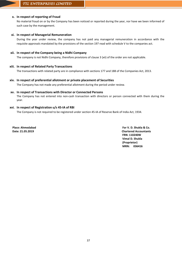## **x. In respect of reporting of Fraud**

No material fraud on or by the Company has been noticed or reported during the year, nor have we been informed of such case by the management.

## **xi. In respect of Managerial Remuneration**

During the year under review, the company has not paid any managerial remuneration in accordance with the requisite approvals mandated by the provisions of the section 197 read with schedule V to the companies act.

## **xii. In respect of the Company being a Nidhi Company**

The company is not Nidhi Company, therefore provisions of clause 3 (xii) of the order are not applicable.

## **xiii. In respect of Related Party Transactions**

The transactions with related party are in compliance with sections 177 and 188 of the Companies Act, 2013.

## **xiv. In respect of preferential allotment or private placement of Securities**

The Company has not made any preferential allotment during the period under review.

## **xv. In respect of Transactions with Director or Connected Persons**

The Company has not entered into non-cash transaction with directors or person connected with them during the year.

## **xvi. In respect of Registration u/s 45-IA of RBI**

The Company is not required to be registered under section 45-IA of Reserve Bank of India Act, 1934.

**Place: Ahmedabad For V. D. Shukla & Co. Date: 21.05.2019 Chartered Accountants FRN: 110240W Vimal D. Shukla (Proprietor) MRN: 036416**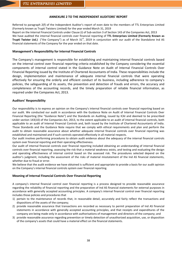## **ANNEXURE 2 TO THE INDEPENDENT AUDITORS' REPORT**

Referred to paragraph 2(f) of the Independent Auditor's report of even date to the members of TTL Enterprises Limited (Formerly known as Trupti Twisters Limited) for the year ended March 31, 2019

Report on the Internal Financial Controls under Clause (i) of Sub-section 3 of Section 143 of the Companies Act, 2013 We have audited the internal financial controls over financial reporting of **TTL Enterprises Limited (Formerly Known as Trupti Twister Ltd.)** ("the Company") as of March 31<sup>st</sup>, 2019 in conjunction with our audit of the Standalone Ind AS financial statements of the Company for the year ended on that date.

## **Management's Responsibility for Internal Financial Controls**

The Company's management is responsible for establishing and maintaining internal financial controls based on the internal control over financial reporting criteria established by the Company considering the essential components of internal control stated in the Guidance Note on Audit of Internal Financial Controls Over Financial Reporting issued by the Institute of Chartered Accountants of India. These responsibilities include the design, implementation and maintenance of adequate internal financial controls that were operating effectively for ensuring the orderly and efficient conduct of its business, including adherence to company's policies, the safeguarding of its assets, the prevention and detection of frauds and errors, the accuracy and completeness of the accounting records, and the timely preparation of reliable financial information, as required under the Companies Act, 2013.

## **Auditors' Responsibility**

Our responsibility is to express an opinion on the Company's internal financial controls over financial reporting based on our audit. We conducted our audit in accordance with the Guidance Note on Audit of Internal Financial Controls Over Financial Reporting (the "Guidance Note") and the Standards on Auditing, issued by ICAI and deemed to be prescribed under section 143(10) of the Companies Act, 2013, to the extent applicable to an audit of internal financial controls, both applicable to an audit of Internal Financial Controls and, both issued by the Institute of Chartered Accountants of India. Those Standards and the Guidance Note require that we comply with ethical requirements and plan and perform the audit to obtain reasonable assurance about whether adequate internal financial controls over financial reporting was established and maintained and if such controls operated effectively in all material respects.

Our audit involves performing procedures to obtain audit evidence about the adequacy of the internal financial controls system over financial reporting and their operating effectiveness.

Our audit of internal financial controls over financial reporting included obtaining an understanding of internal financial controls over financial reporting, assessing the risk that a material weakness exists, and testing and evaluating the design and operating effectiveness of internal control based on the assessed risk. The procedures selected depend on the auditor's judgment, including the assessment of the risks of material misstatement of the Ind AS financial statements, whether due to fraud or error.

We believe that the audit evidence we have obtained is sufficient and appropriate to provide a basis for our audit opinion on the Company's internal financial controls system over financial reporting.

## **Meaning of Internal Financial Controls Over Financial Reporting**

A company's internal financial control over financial reporting is a process designed to provide reasonable assurance regarding the reliability of financial reporting and the preparation of Ind AS financial statements for external purposes in accordance with generally accepted accounting principles. A company's internal financial control over financial reporting includes those policies and procedures that

- 1) pertain to the maintenance of records that, in reasonable detail, accurately and fairly reflect the transactions and dispositions of the assets of the company;
- 2) provide reasonable assurance that transactions are recorded as necessary to permit preparation of Ind AS financial statements in accordance with generally accepted accounting principles, and that receipts and expenditures of the company are being made only in accordance with authorisations of management and directors of the company; and
- 3) provide reasonable assurance regarding prevention or timely detection of unauthorized acquisition, use, or disposition of the company's assets that could have a material effect on the financial statements.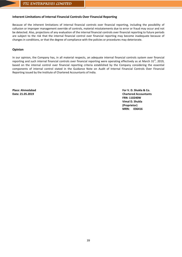## **Inherent Limitations of Internal Financial Controls Over Financial Reporting**

Because of the inherent limitations of internal financial controls over financial reporting, including the possibility of collusion or improper management override of controls, material misstatements due to error or fraud may occur and not be detected. Also, projections of any evaluation of the internal financial controls over financial reporting to future periods are subject to the risk that the internal financial control over financial reporting may become inadequate because of changes in conditions, or that the degree of compliance with the policies or procedures may deteriorate.

## **Opinion**

In our opinion, the Company has, in all material respects, an adequate internal financial controls system over financial reporting and such internal financial controls over financial reporting were operating effectively as at March  $31<sup>st</sup>$ , 2019, based on the internal control over financial reporting criteria established by the Company considering the essential components of internal control stated in the Guidance Note on Audit of Internal Financial Controls Over Financial Reporting issued by the Institute of Chartered Accountants of India.

**Place: Ahmedabad For V. D. Shukla & Co. Date: 21.05.2019 Chartered Accountants FRN: 110240W Vimal D. Shukla (Proprietor) MRN: 036416**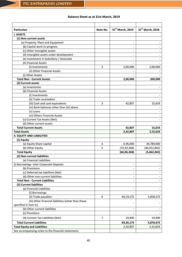## **Balance Sheet as at 31st March, 2019**

| 31st March, 2018<br>31 <sup>st</sup> March, 2019<br><b>Particulars</b><br>Note No.<br><b>I. ASSETS</b><br>(1) Non-current assets<br>(a) Property, Plant and Equipment<br>(b) Capital work-in-progress<br>(c) Other Intangible assets |            |
|--------------------------------------------------------------------------------------------------------------------------------------------------------------------------------------------------------------------------------------|------------|
|                                                                                                                                                                                                                                      |            |
|                                                                                                                                                                                                                                      |            |
|                                                                                                                                                                                                                                      |            |
|                                                                                                                                                                                                                                      |            |
|                                                                                                                                                                                                                                      |            |
|                                                                                                                                                                                                                                      |            |
| (d) Intangible assets under development                                                                                                                                                                                              |            |
| (e) Investment in Subsidiary / Associate                                                                                                                                                                                             |            |
| (h) Financial Assets                                                                                                                                                                                                                 |            |
| (i) Investments<br>2<br>2,00,000                                                                                                                                                                                                     | 2,00,000   |
| (ii) Other Financial Assets                                                                                                                                                                                                          |            |
| (j) Other Assets                                                                                                                                                                                                                     |            |
| <b>Total Non - Current Assets</b><br>2,00,000                                                                                                                                                                                        | 200,000    |
| (2) Current assets                                                                                                                                                                                                                   |            |
| (a) Inventories                                                                                                                                                                                                                      |            |
| (b) Financial Assets                                                                                                                                                                                                                 |            |
| (i) Investments                                                                                                                                                                                                                      |            |
| (ii) Trade receivables                                                                                                                                                                                                               |            |
| (iii) Cash and cash equivalents<br>3<br>42,807                                                                                                                                                                                       | 15,633     |
| (iv) Bank balances other than (iii) above                                                                                                                                                                                            |            |
| (v) Loans                                                                                                                                                                                                                            |            |
| (vi) Others Financial Assets                                                                                                                                                                                                         |            |
| (c) Current Tax Assets (Net)                                                                                                                                                                                                         |            |
| (d) Other current assets                                                                                                                                                                                                             |            |
| <b>Total Current Assets</b><br>42,807                                                                                                                                                                                                | 15,633     |
| <b>Total Assets</b><br>2,42,807                                                                                                                                                                                                      | 2,15,633   |
| <b>II. EQUITY AND LIABILITIES</b>                                                                                                                                                                                                    |            |
| (1) Equity                                                                                                                                                                                                                           |            |
| (a) Equity Share capital<br>4<br>6,96,000                                                                                                                                                                                            | 34,789,000 |
| 5<br>(b) Other Equity<br>(72, 92, 368)<br>(40, 451, 842)                                                                                                                                                                             |            |
| <b>Total Equity</b><br>(66, 96, 368)<br>(5,662,842)                                                                                                                                                                                  |            |
| (2) Non-current liabilities                                                                                                                                                                                                          |            |
| (a) Financial Liabilities                                                                                                                                                                                                            |            |
| (i) Borrowings- Inter Corporate Deposits                                                                                                                                                                                             |            |
| (b) Provisions                                                                                                                                                                                                                       |            |
| (c) Deferred tax liabilities (Net)                                                                                                                                                                                                   |            |
| (d) Other non-current liabilities<br>۰                                                                                                                                                                                               |            |
| <b>Total Non - Current Liabilities</b>                                                                                                                                                                                               |            |
| (3) Current liabilities                                                                                                                                                                                                              |            |
| (a) Financial Liabilities                                                                                                                                                                                                            |            |
| (i) Borrowings                                                                                                                                                                                                                       |            |
| (ii) Trade payables<br>6<br>69,19,275                                                                                                                                                                                                | 5,858,575  |
| (iii) Other financial liabilities (other than those                                                                                                                                                                                  |            |
| specified in item (c)                                                                                                                                                                                                                |            |
| (b) Other current liabilities                                                                                                                                                                                                        |            |
| (c) Provisions                                                                                                                                                                                                                       |            |
| (d) Current Tax Liabilities (Net)<br>$\overline{7}$<br>19,900                                                                                                                                                                        | 19,900     |
| <b>Total Current Liabilities</b><br>69,39,175                                                                                                                                                                                        | 5,878,475  |
| <b>Total Equity and Liabilities</b><br>2,42,807                                                                                                                                                                                      | 2,15,633   |
| See accompanying notes to the financial statements                                                                                                                                                                                   |            |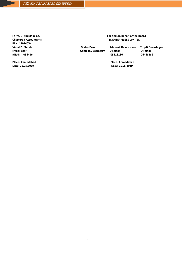**For V. D. Shukla & Co. Chartered Accountants FRN: 110240W Vimal D. Shukla (Proprietor) MRN: 036416**

**Place: Ahmedabad Date: 21.05.2019**

## **For and on behalf of the Board TTL ENTERPRISES LIMITED**

 **Malay Desai Mayank Devashryee Trupti Devashryee Company Secretary Director Director Director<br>05313186 06468232** 05313186

 **Place: Ahmedabad Date: 21.05.2019**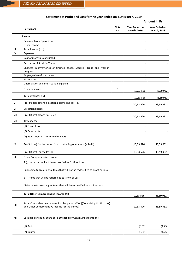# **Statement of Profit and Loss for the year ended on 31st March, 2019**

## **(Amount in Rs.)**

|                            | <b>Particulars</b>                                                                                                          | <b>Note</b><br>No. | <b>Year Ended on</b><br>March, 2019 | <b>Year Ended on</b><br><b>March, 2018</b> |
|----------------------------|-----------------------------------------------------------------------------------------------------------------------------|--------------------|-------------------------------------|--------------------------------------------|
|                            | Income                                                                                                                      |                    |                                     |                                            |
| T                          | <b>Revenue From Operations</b>                                                                                              |                    |                                     |                                            |
| $\ensuremath{\mathsf{II}}$ | Other Income                                                                                                                |                    |                                     |                                            |
| Ш                          | Total Income (I+II)                                                                                                         |                    |                                     |                                            |
| IV                         | <b>Expenses</b>                                                                                                             |                    |                                     |                                            |
|                            | Cost of materials consumed                                                                                                  |                    |                                     |                                            |
|                            | Purchases of Stock-in-Trade                                                                                                 |                    |                                     |                                            |
|                            | Changes in inventories of finished goods, Stock-in -Trade and work-in-<br>progress                                          |                    |                                     |                                            |
|                            | Employee benefits expense                                                                                                   |                    |                                     |                                            |
|                            | Finance costs                                                                                                               |                    |                                     |                                            |
|                            | Depreciation and amortization expense                                                                                       |                    |                                     |                                            |
|                            | Other expenses                                                                                                              | 8                  | 10,33,526                           | 43,59,932                                  |
|                            | Total expenses (IV)                                                                                                         |                    | 10,33,526                           | 43,59,932                                  |
| $\mathsf{V}$               | Profit/(loss) before exceptional items and tax (I-IV)                                                                       |                    | (10, 33, 526)                       | (43,59,932)                                |
| VI                         | <b>Exceptional Items</b>                                                                                                    |                    |                                     |                                            |
| VII                        | Profit/(loss) before tax (V-VI)                                                                                             |                    | (10, 33, 526)                       | (43,59,932)                                |
| VIII                       | Tax expense:                                                                                                                |                    |                                     |                                            |
|                            | (1) Current tax                                                                                                             |                    |                                     |                                            |
|                            | (2) Deferred tax                                                                                                            |                    |                                     |                                            |
|                            | (3) Adjustment of Tax for earlier years                                                                                     |                    |                                     |                                            |
| IX                         | Profit (Loss) for the period from continuing operations (VII-VIII)                                                          |                    | (10, 33, 526)                       | (43,59,932)                                |
| X                          | Profit/(loss) For the Period                                                                                                |                    | (10, 33, 526)                       | (43,59,932)                                |
| XI                         | Other Comprehensive Income                                                                                                  |                    |                                     |                                            |
|                            | A (i) Items that will not be reclassified to Profit or Loss                                                                 |                    |                                     |                                            |
|                            | (ii) Income tax relating to items that will not be reclassified to Profit or Loss                                           |                    |                                     |                                            |
|                            | B (i) Items that will be reclassified to Profit or Loss                                                                     |                    |                                     |                                            |
|                            | (ii) Income tax relating to items that will be reclassified to profit or loss                                               |                    |                                     |                                            |
|                            | <b>Total Other Comprehensive Income (XI)</b>                                                                                |                    | (10, 33, 526)                       | (43,59,932)                                |
| XII                        | Total Comprehensive Income for the period (X+XI)(Comprising Profit (Loss)<br>and Other Comprehensive Income for the period) |                    | (10, 33, 526)                       | (43,59,932)                                |
| XIII                       | Earnings per equity share of Rs 10 each (For Continuing Operations)                                                         |                    |                                     |                                            |
|                            | (1) Basic                                                                                                                   |                    | (0.52)                              | (1.25)                                     |
|                            | (2) Diluted                                                                                                                 |                    | (0.52)                              | (1.25)                                     |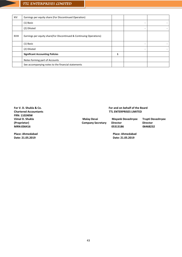| <b>XIV</b>   | Earnings per equity share (For Discontinued Operation)              |   |  |
|--------------|---------------------------------------------------------------------|---|--|
|              | $(1)$ Basic                                                         |   |  |
|              | (2) Diluted                                                         | ٠ |  |
| <b>XVIII</b> | Earnings per equity share(For Discontinued & Continuing Operations) |   |  |
|              | (1) Basic                                                           |   |  |
|              | (2) Diluted                                                         |   |  |
|              | <b>Significant Accounting Policies</b>                              |   |  |
|              | Notes forming part of Accounts                                      |   |  |
|              | See accompanying notes to the financial statements                  |   |  |

**For V. D. Shukla & Co. Chartered Accountants FRN: 110240W Vimal D. Shukla (Proprietor) MRN:036416**

**Place: Ahmedabad Date: 21.05.2019**

 **For and on behalf of the Board TTL ENTERPRISES LIMITED**

**Company Secretary Director Director Director Company Secretary Director COS** 05313186

 **Malay Desai Mayank Devashryee Trupti Devashryee**

 **Place: Ahmedabad Date: 21.05.2019**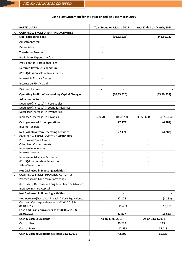# **Cash Flow Statement for the year ended on 31st March 2019**

|              | <b>PARTICULARS</b>                                         | Year Ended on March, 2019            |               | Year Ended on March, 2018 |             |
|--------------|------------------------------------------------------------|--------------------------------------|---------------|---------------------------|-------------|
| A            | <b>CASH FLOW FROM OPERATING ACTIVITIES</b>                 |                                      |               |                           |             |
|              | <b>Net Profit Before Tax</b>                               |                                      | (10, 33, 526) |                           | (43,59,932) |
|              | Adjustments for:                                           |                                      |               |                           |             |
|              | Depreciation                                               | $\overline{\phantom{a}}$             |               |                           |             |
|              | <b>Transfer to Reserve</b>                                 |                                      |               |                           |             |
|              | Preliminary Expenses w/off                                 |                                      |               |                           |             |
|              | Provision for Professional Fees                            |                                      |               |                           |             |
|              | Deferred Revenue Expenditure                               |                                      |               |                           |             |
|              |                                                            |                                      |               |                           |             |
|              | (Profit)/loss on sale of Investments                       | $\overline{\phantom{a}}$             |               |                           |             |
|              | Interest & Finance Charges                                 |                                      |               |                           |             |
|              | Interest on FD (Accrual)                                   |                                      |               |                           |             |
|              | Dividend Income                                            |                                      |               |                           |             |
|              | <b>Operating Profit before Working Capital Changes</b>     |                                      | (10, 33, 526) |                           | (43,59,932) |
|              | <b>Adjustments for:</b>                                    |                                      |               |                           |             |
|              | Decrease/(Increase) in Receivables                         |                                      |               |                           |             |
|              | Decrease/(Increase) in Loans & Advances                    |                                      |               |                           |             |
|              | Decrease/(Increase) in Inventories                         |                                      |               |                           |             |
|              | Increase/(Decrease) in Payables                            | 10,60,700                            | 10,60,700     | 43,55,650                 | 43,55,650   |
|              | Cash generated from operations                             |                                      | 27,174        |                           | (4, 282)    |
|              | Income Tax paid                                            |                                      |               |                           |             |
|              | <b>Net Cash flow from Operating activities</b>             |                                      | 27,174        |                           | (4, 282)    |
| B            | <b>CASH FLOW FROM INVESTING ACTIVITIES</b>                 |                                      |               |                           |             |
|              | <b>Purchase of Fixed Assets</b>                            |                                      |               |                           |             |
|              | <b>Other Non Current Assets</b>                            | $\overline{\phantom{a}}$             |               |                           |             |
|              | Increase in Investments<br>Interest Income                 |                                      |               |                           |             |
|              | Increase in Advances & others                              |                                      |               |                           |             |
|              | (Profit)/loss on sale of Investments                       |                                      |               |                           |             |
|              | Sale of Investments                                        |                                      |               |                           |             |
|              | Net Cash used in Investing activities                      |                                      |               |                           |             |
| $\mathsf{C}$ | <b>CASH FLOW FROM FINANCING ACTIVITIES</b>                 |                                      |               |                           |             |
|              | Proceeds from Long term Borrowings                         |                                      |               |                           |             |
|              | (Increase) / Decrease in Long Term Loan & Advances         |                                      |               |                           |             |
|              | Increase in Share Capital                                  |                                      |               |                           |             |
|              | Net Cash used in financing activities                      |                                      |               |                           |             |
|              | Net increase/(Decrease) in cash & Cash Equivalents         |                                      | 27,174        |                           | (4, 282)    |
|              | Cash and Cash equivalents as at 01.04.2018 &               |                                      |               |                           |             |
|              | 01.04.2017                                                 |                                      | 15,633        |                           | 19,915      |
|              | Cash and Cash equivalents as at 31.03.2019 &<br>31.03.2018 |                                      | 42,807        |                           | 15,633      |
|              | <b>Cash &amp; Cash Equivalents</b>                         | As on 31.03.2019<br>As on 31.03.2018 |               |                           |             |
|              | Cash in Hand                                               |                                      | 30,215        |                           | 215         |
|              | Cash at Bank                                               |                                      | 12,592        |                           | 15,418      |
|              | Cash & Cash equivalents as stated 31.03.2019               |                                      | 42,807        |                           | 15,633      |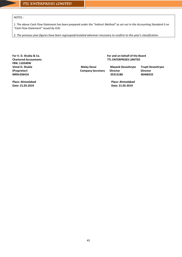NOTES :

*1. The above Cash Flow Statement has been prepared under the "Indirect Method" as set out in the Accounting Standard-3 on "Cash Flow Statement" issued by ICAI.*

*2. The previous year figures have been regrouped/restated wherever necessary to confirm to this year's classification.*

**For V. D. Shukla & Co. Chartered Accountants FRN: 110240W Vimal D. Shukla (Proprietor) MRN:036416**

 **For and on behalf of the Board TTL ENTERPRISES LIMITED**

 **Malay Desai Mayank Devashryee Trupti Devashryee**

**Company Secretary Director<br>05313186** 

 **05313186 06468232**

**Place: Ahmedabad Date: 21.05.2019**

 **Place: Ahmedabad Date: 21.05.2019**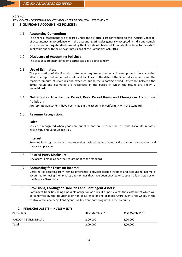*NOTE – 1 :*

*SIGNIFICANT ACCOUNTING POLICIES AND NOTES TO FINANCIAL STATEMENTS* 1) **SIGNIFICANT ACCOUNTING POLICIES :** 1.1) **Accounting Convention:** The financial statements are prepared under the historical cost convention on the "Accrual Concept" of accountancy in accordance with the accounting principles generally accepted in India and comply with the accounting standards issued by the Institute of Chartered Accountants of India to the extent applicable and with the relevant provisions of the Companies Act, 2013. 1.2) **Disclosure of Accounting Policies :**  The accounts are maintained on accrual basis as a going concern. 1.3) **Use of Estimates:** The preparation of the Financial statements requires estimates and assumption to be made that affect the reported amount of assets and liabilities on the date of the financial statements and the reported amount of revenues and expenses during the reporting period. Difference between the actual result and estimates are recognized in the period in which the results are known / materialized. 1.4) **Net Profit or Loss for the Period, Prior Period Items and Changes in Accounting Policies :** Appropriate adjustments have been made in the accounts in conformity with the standard. 1.5) **Revenue Recognition: Sales** Sales are recognized when goods are supplied and are recorded net of trade discounts, rebates, excise duty and Value Added Tax. **Interest** Revenue is recognized on a time proportion basis taking into account the amount outstanding and the rate applicable. 1.6) **Related Party Disclosure:** Disclosure is made as per the requirement of the standard. 1.7) **Accounting for Taxes on Income:** Deferred tax resulting from "timing difference" between taxable incomes and accounting income is accounted for, using the tax rates and tax laws that have been enacted or substantially enacted as on the Balance Sheet date. 1.8) **Provisions, Contingent Liabilities and Contingent Assets:** Contingent Liabilities being a possible obligation as a result of past events the existence of which will be confirmed by the occurrence or non-occurrence of one or more future events not wholly in the control of the company. Contingent Liabilities are not recognized in the accounts.

## **2. FINANCIAL ASSETS – INVESTMENTS**

| <b>Particulars</b>      | 31st March, 2019 | 31st March, 2018 |
|-------------------------|------------------|------------------|
| NAKODA TEXTILE IND.LTD. | 2,00,000         | 2,00,000         |
| <b>Total</b>            | 2,00,000         | 2,00,000         |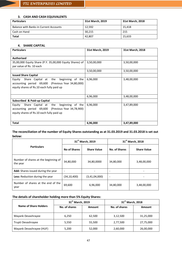## **3. CASH AND CASH EQUIVALENTS**

| <b>Particulars</b>                     | 31st March, 2019 | 31st March, 2018 |
|----------------------------------------|------------------|------------------|
| Balance with Banks in Current Accounts | 12.592           | 15,418           |
| Cash on Hand                           | 30.215           | 215              |
| <b>Total</b>                           | 42,807           | 15,633           |

## **4. SHARE CAPITAL**

| <b>Particulars</b>                                       | 31st March, 2019 | 31st March, 2018 |
|----------------------------------------------------------|------------------|------------------|
|                                                          |                  |                  |
| <b>Authorised</b>                                        |                  |                  |
| 35,00,000 Equity Share (P.Y. 35,00,000 Equity Shares) of | 3,50,00,000      | 3,50,00,000      |
| par value of Rs. 10 each                                 |                  |                  |
|                                                          | 3,50,00,000      | 3,50,00,000      |
| <b>Issued Share Capital</b>                              |                  |                  |
| Equity Share Capital at the beginning of the             | 6,96,000         | 3,48,00,000      |
| accounting period 69,600 (Previous Year 34,80,000)       |                  |                  |
| equity shares of Rs.10 each fully paid up                |                  |                  |
|                                                          |                  |                  |
|                                                          | 6,96,000         | 3,48,00,000      |
| Subscribed & Paid-up Capital                             |                  |                  |
| Equity Share Capital at the<br>beginning of the          | 6,96,000         | 3,47,89,000      |
| accounting period 69,600 (Previous Year 34,78,900)       |                  |                  |
| equity shares of Rs.10 each fully paid up                |                  |                  |
|                                                          |                  |                  |
| <b>Total</b>                                             | 6,96,000         | 3,47,89,000      |

**The reconciliation of the number of Equity Shares outstanding as at 31.03.2019 and 31.03.2018 is set out below:**

|                                                  |                          | 31 <sup>st</sup> March, 2019 |                          | 31 <sup>st</sup> March, 2018 |
|--------------------------------------------------|--------------------------|------------------------------|--------------------------|------------------------------|
| <b>Particulars</b>                               | No of Shares             | <b>Share Value</b>           | No. of Shares            | <b>Share Value</b>           |
| Number of shares at the beginning of<br>the year | 34,80,000                | 34,80,0000                   | 34,80,000                | 3,48,00,000                  |
| Add: Shares issued during the year               | $\overline{\phantom{a}}$ |                              |                          |                              |
| Less: Reduction during the year                  | (34,10,400)              | (3,41,04,000)                | $\overline{\phantom{a}}$ |                              |
| Number of shares at the end of the<br>year       | 69,600                   | 6,96,000                     | 34,80,000                | 3,48,00,000                  |

# **The details of shareholder holding more than 5% Equity Shares:**

|                          | 31 <sup>st</sup> March, 2019 |        | 31 <sup>st</sup> March, 2018 |           |  |
|--------------------------|------------------------------|--------|------------------------------|-----------|--|
| Name of Share Holders    | No. of shares                | Amount | No. of shares                | Amount    |  |
| Mayank Devashrayee       | 6.250                        | 62,500 | 3,12,500                     | 31,25,000 |  |
| Trupti Devashrayee       | 5,550                        | 55,500 | 2,77,500                     | 27,75,000 |  |
| Mayank Devashrayee (HUF) | 5,200                        | 52,000 | 2,60,000                     | 26,00,000 |  |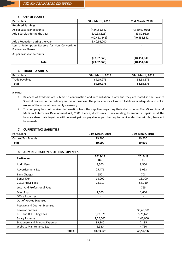## **5. OTHER EQUITY**

| <b>Particulars</b>                                                       | 31st March, 2019 | 31st March, 2018 |
|--------------------------------------------------------------------------|------------------|------------------|
| <b>Retained Earnings</b>                                                 |                  |                  |
| As per Last year accounts                                                | (4,04,51,842)    | (3,60,91,910)    |
| Add: Surplus during the year                                             | (10, 33, 526)    | (43, 59, 932)    |
|                                                                          | (40, 451, 842)   | (40, 451, 842)   |
| Add: Reduction during the year                                           | 3,40,93,000      |                  |
| Less: Redemption Reserve for Non Convertible<br><b>Preference Shares</b> |                  |                  |
| As per Last year accounts                                                | $\qquad \qquad$  | -                |
|                                                                          | (73,92,368)      | (40,451,842)     |
| <b>Total</b>                                                             | (73, 92, 368)    | (40, 451, 842)   |

#### **6. TRADE PAYABLES**

| <b>Particulars</b> | 31st March, 2019 | 31st March, 2018 |
|--------------------|------------------|------------------|
| Trade Payables     | 69,19,275        | 58,58,575        |
| <b>Total</b>       | 69,19,275        | 58,58,575        |

#### **Notes:**

- 1. Balances of Creditors are subject to confirmation and reconciliation, if any and they are stated in the Balance Sheet if realized in the ordinary course of business. The provision for all known liabilities is adequate and not in excess of the amount reasonably necessary.
- 2. The company has not received information from the suppliers regarding their status under The Micro, Small & Medium Enterprises Development Act, 2006. Hence, disclosures, if any relating to amounts unpaid as at the balance sheet date together with interest paid or payable as per the requirement under the said Act, have not been made.

## **7. CURRENT TAX LIABILITIES**

| <b>Particulars</b>  | 31st March, 2019 | 31st March, 2018 |
|---------------------|------------------|------------------|
| Current Tax Payable | 19,900           | 19,900           |
| Total               | 19,900           | 19,900           |

## **8. ADMINISTRATION & OTHERS EXPENSES**

| <b>Particulars</b>                      | 2018-19<br>Rs.           | 2017-18<br>Rs.           |
|-----------------------------------------|--------------------------|--------------------------|
| <b>Audit Fees</b>                       | 8,500                    | 8,500                    |
| Advertisement Exp                       | 25,471                   | 5,093                    |
| <b>Bank Charges</b>                     | 650                      | 708                      |
| <b>Bonus Exp</b>                        | 18,000                   | 15,000                   |
| CDSL/ NSDL Fees                         | 78,217                   | 58,710                   |
| Legal And Professional Fees             | $\overline{\phantom{a}}$ | 765                      |
| Misc. Exp                               | 2,500                    | 1,600                    |
| <b>Office Expenses</b>                  | $\overline{\phantom{a}}$ | $\overline{\phantom{0}}$ |
| Out of Pocket Expenses                  | $\overline{\phantom{a}}$ | -                        |
| Postage and Courier Expenses            | $\overline{\phantom{a}}$ | $\overline{\phantom{0}}$ |
| <b>Revocation Fees</b>                  |                          | 35,40,000                |
| ROC and BSE Filling Fees                | 5,78,928                 | 5,76,671                 |
| <b>Salary Expense</b>                   | 2,26,000                 | 1,46,000                 |
| <b>Stationery and Printing Expenses</b> | 89,340                   | 2,135                    |
| Website Maintenance Exp                 | 5,920                    | 4,750                    |
| <b>TOTAL</b>                            | 10,33,526                | 43,59,932                |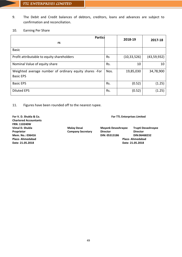- 9. The Debit and Credit balances of debtors, creditors, loans and advances are subject to confirmation and reconciliation.
- 10. Earning Per Share

| Particu                                                                    | 2018-19   | 2017-18       |             |
|----------------------------------------------------------------------------|-----------|---------------|-------------|
| rs                                                                         |           |               |             |
| <b>Basic</b>                                                               |           |               |             |
| Profit attributable to equity shareholders                                 | <b>Rs</b> | (10, 33, 526) | (43,59,932) |
| Nominal Value of equity share                                              | Rs.       | 10            | 10          |
| Weighted average number of ordinary equity shares -For<br><b>Basic EPS</b> | Nos.      | 19,85,030     | 34,78,900   |
| <b>Basic EPS</b>                                                           | Rs.       | (0.52)        | (1.25)      |
| <b>Diluted EPS</b>                                                         | Rs.       | (0.52)        | (1.25)      |

11. Figures have been rounded off to the nearest rupee.

**Chartered Accountants FRN: 110240W Date- 21.05.2018 Date- 21.05.2018**

**For V. D. Shukla & Co. For TTL Enterprises Limited**

**Vimal D. Shukla Malay Desai Mayank Devashrayee Trupti Devashrayee Proprietor Company Secretary Director Director Mem. No.: 036416 DIN: 05313186 DIN:06468232 Place- Ahmedabad Place- Ahmedabad**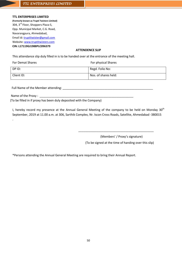## **TTL ENTERPRISES LIMITED**

**(Formerly known as Trupti Twisters Limited)** 304, 3rd Floor, Shoppers Plaza-5, Opp. Municipal Market, C.G. Road, Navarangpura, Ahmedabad, Email id[: truptitwister@gmail.com](mailto:truptitwister@gmail.com) Website: [www.truptitwisters.com](http://www.truptitwisters.com/) **CIN: L17119GJ1988PLC096379**

## **ATTENDENCE SLIP**

This attendance slip duly filled in is to be handed over at the entrance of the meeting hall.

| <b>For Demat Shares</b> | For physical Shares  |
|-------------------------|----------------------|
| DP ID:                  | Regd. Folio No:      |
| Client ID:              | Nos. of shares held: |

Full Name of the Member attending: \_\_\_\_\_\_\_\_\_\_\_\_\_\_\_\_\_\_\_\_\_\_\_\_\_\_\_\_\_\_\_\_\_\_\_\_\_\_\_\_\_\_\_\_\_\_\_\_\_\_\_\_\_\_

Name of the Proxy :

.

(To be filled in if proxy has been duly deposited with the Company)

I, hereby record my presence at the Annual General Meeting of the company to be held on Monday 30<sup>th</sup> September, 2019 at 11.00 a.m. at 306, Sarthik Complex, Nr. Iscon Cross Roads, Satellite, Ahmedabad -380015

(Members' / Proxy's signature)

(To be signed at the time of handing over this slip)

\_\_\_\_\_\_\_\_\_\_\_\_\_\_\_\_\_\_\_\_\_\_\_\_\_\_\_\_\_\_\_\_\_\_\_\_\_\_\_\_\_\_\_\_\_

\*Persons attending the Annual General Meeting are required to bring their Annual Report.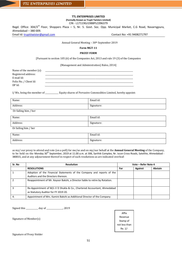#### **TTL ENTERPRISES LIMITED (Formally Known as Trupti Twisters Limited)**

CIN - L17119GJ1988PLC096379

Regd. Office: 304/3<sup>rd</sup> Floor, Shoppers Plaza – 5, Nr. 5. Govt. Soc. Opp. Municipal Market, C.G Road, Navarngpura, Ahmedabad – 380 009. Email Id[: truptitwister@gmail.com](mailto:truptitwister@gmail.com) Contact No: +91 9408271797

Annual General Meeting - 30th September 2019

#### **Form MGT-11**

#### **PROXY FORM**

[Pursuant to section 105 (6) of the Companies Act, 2013 and rule 19 (3) of the Companies

(Management and Administration) Rules, 2014]

| Name of the member $(s)$ : |  |
|----------------------------|--|
| Registered address:        |  |
| E-mail Id:                 |  |
| Folio No. / Client Id:     |  |
| DP Id:                     |  |

I/ We, being the member of \_\_\_\_\_\_\_\_\_\_\_\_\_ Equity shares of Pervasive Commodities Limited, hereby appoint:

| Name:      | Email id:  |
|------------|------------|
| Address:   | Signature: |
| 0.01111111 |            |

Or failing him / her

| Name:                | Email id:  |
|----------------------|------------|
| Address:             | Signature: |
| Or failing him / her |            |

| Name:         | Email id:  |
|---------------|------------|
| Address:<br>. | Signature: |

as my/ our proxy to attend and vote (on a poll) for me/us and on my/our behalf at the **Annual General Meeting** of the Company, to be held on the Monday 30<sup>th</sup> September, 2019 at 11.00 a.m. at 306, Sarthik Complex, Nr. Iscon Cross Roads, Satellite, Ahmedabad -380015, and at any adjournment thereof in respect of such resolutions as are indicated overleaf:

| Sr. No | <b>Resolution</b>                                                                                               |     | Vote – Refer Note 4 |         |  |
|--------|-----------------------------------------------------------------------------------------------------------------|-----|---------------------|---------|--|
|        | <b>RESOLUTIONS</b>                                                                                              | For | Against             | Abstain |  |
|        | Adoption of the Financial Statements of the Company and reports of the<br>Auditors and the Directors thereon.   |     |                     |         |  |
|        | Reappointment of Mr. Keyoor Bakshi, a Director liable to retire by Rotation.                                    |     |                     |         |  |
|        | Re-Appointment of M/s V D Shukla & Co., Chartered Accountant, Ahmedabad<br>as Statutory Auditor for FY 2019 20. |     |                     |         |  |
| 4.     | Appointment of Mrs. Kamini Bakshi as Additional Director of the Company                                         |     |                     |         |  |

Signed this \_\_\_\_\_\_\_\_\_\_\_\_ day of \_\_\_\_\_\_\_\_\_\_\_\_\_\_\_\_, 2019

Signature of Member(s)

Affix Revenue Stamp of not less than Re. 1/-

Signature of Proxy Holder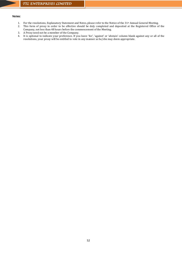## Notes:

- 1. For the resolutions, Explanatory Statement and Notes, please refer to the Notice of the 31<sup>st</sup> Annual General Meeting.<br>2. This form of proxy in order to be effective should be duly completed and deposited at the Registe
- 2. This form of proxy in order to be effective should be duly completed and deposited at the Registered Office of the Company, not less than 48 hours before the commencement of the Meeting.
- 3. A Proxy need not be a member of the Company.
- 4. It is optional to indicate your preference. If you leave 'for', 'against' or 'abstain' column blank against any or all of the resolutions, your proxy will be entitled to vote in any manner as he/she may deem appropriate.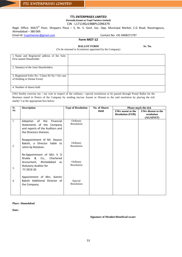## **TTL ENTERPRISES LIMITED**

**(Formally Known as Trupti Twisters Limited)**

CIN - L17119GJ1988PLC096379

Regd. Office: 304/3<sup>rd</sup> Floor, Shoppers Plaza – 5, Nr. 5. Govt. Soc. Opp. Municipal Market, C.G Road, Navarngpura, Ahmedabad – 380 009.

## Email Id[: truptitwister@gmail.com](mailto:truptitwister@gmail.com) Contact No: +91 9408271797

## **Form MGT-12**

**BALLOT FORM** Sr. No.

| (To be returned to Scrutinizer appointed by the Company) |  |  |
|----------------------------------------------------------|--|--|
|                                                          |  |  |

| 1. Name and Registered address of the Sole-<br>First named Shareholder        |  |
|-------------------------------------------------------------------------------|--|
| 2. Name(s) of the Joint Shareholders                                          |  |
| 3. Registered Folio No / Client ID No.* (In case<br>of Holding in Demat Form) |  |
| 4. Number of shares held                                                      |  |

I/We hereby exercise my / our vote in respect of the ordinary / special resolutions to be passed through Postal Ballot for the Business stated in Notice of the Company by sending my/our Assent or Dissent to the said resolution by placing the tick  $mark(\checkmark)$  at the appropriate box below:

| Sr.              | <b>Description</b>                                                                                                                             | <b>Type of Resolution</b> | <b>No. of Shares</b> | <b>Please mark the tick</b>                   |                                                |
|------------------|------------------------------------------------------------------------------------------------------------------------------------------------|---------------------------|----------------------|-----------------------------------------------|------------------------------------------------|
| N <sub>0</sub>   |                                                                                                                                                |                           | <b>Held</b>          | I/We assent to the<br><b>Resolution (FOR)</b> | I/We dissent to the<br>resolution<br>(AGAINST) |
| 1.               | Adoption<br>of the<br>Financial<br>Statements of the Company<br>and reports of the Auditors and<br>the Directors thereon.                      | Ordinary<br>Resolution    |                      |                                               |                                                |
| 2.               | Reappointment of Mr. Keyoor<br>Bakshi, a Director liable to<br>retire by Rotation.                                                             | Ordinary<br>Resolution    |                      |                                               |                                                |
| 3.               | Re-Appointment of M/s V D<br>&<br>Shukla<br>Co.,<br>Chartered<br>Ahmedabad<br>Accountant,<br>as<br><b>Statutory Auditor for</b><br>FY 2019 20. | Ordinary<br>Resolution    |                      |                                               |                                                |
| $\overline{4}$ . | Appointment of Mrs. Kamini<br>Bakshi Additional Director of<br>the Company.                                                                    | Special<br>Resolution     |                      |                                               |                                                |

#### **Place: Ahmedabad**

**Date:** 

 **Signature of Member/Beneficial owner**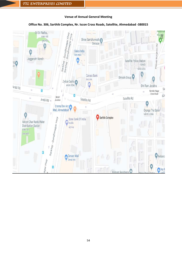## **Venue of Annual General Meeting**



## **Office No. 306, Sarthik Complex, Nr. Iscon Cross Roads, Satellite, Ahmedabad -380015**